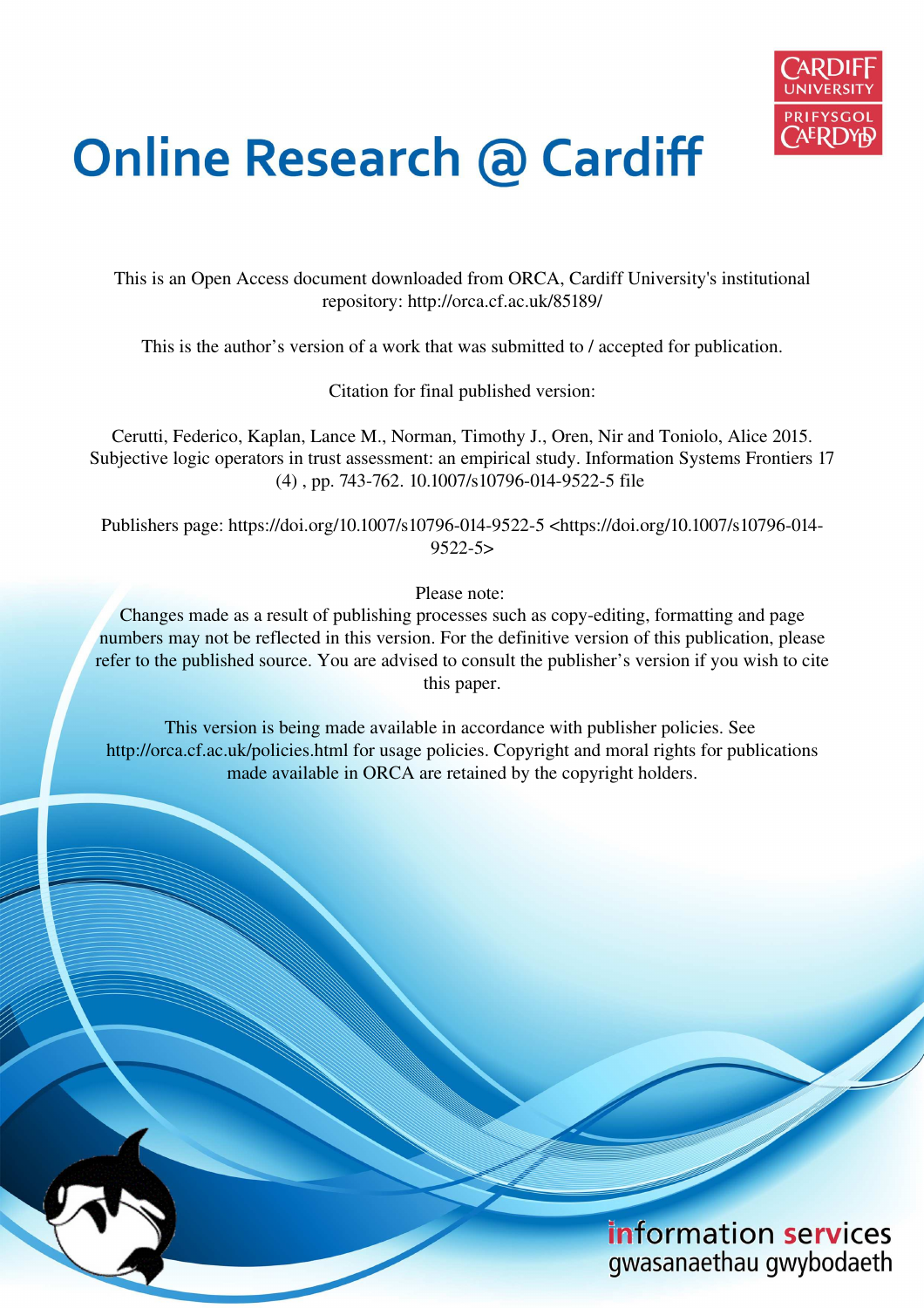

# **Online Research @ Cardiff**

This is an Open Access document downloaded from ORCA, Cardiff University's institutional repository: http://orca.cf.ac.uk/85189/

This is the author's version of a work that was submitted to / accepted for publication.

Citation for final published version:

Cerutti, Federico, Kaplan, Lance M., Norman, Timothy J., Oren, Nir and Toniolo, Alice 2015. Subjective logic operators in trust assessment: an empirical study. Information Systems Frontiers 17 (4) , pp. 743-762. 10.1007/s10796-014-9522-5 file

Publishers page: https://doi.org/10.1007/s10796-014-9522-5 <https://doi.org/10.1007/s10796-014- 9522-5>

Please note:

Changes made as a result of publishing processes such as copy-editing, formatting and page numbers may not be reflected in this version. For the definitive version of this publication, please refer to the published source. You are advised to consult the publisher's version if you wish to cite this paper.

This version is being made available in accordance with publisher policies. See http://orca.cf.ac.uk/policies.html for usage policies. Copyright and moral rights for publications made available in ORCA are retained by the copyright holders.

## information services gwasanaethau gwybodaeth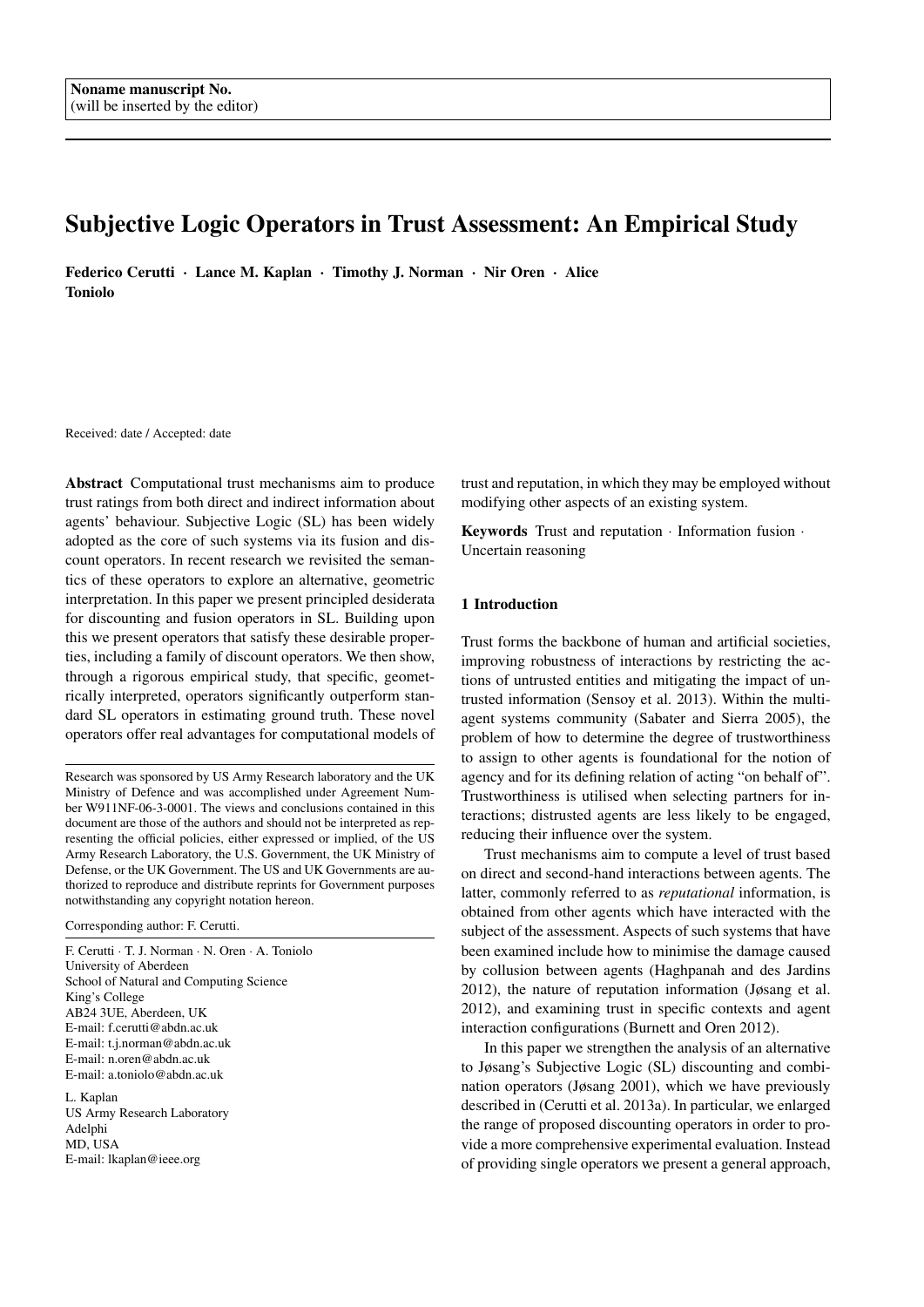### Subjective Logic Operators in Trust Assessment: An Empirical Study

Federico Cerutti · Lance M. Kaplan · Timothy J. Norman · Nir Oren · Alice Toniolo

Received: date / Accepted: date

Abstract Computational trust mechanisms aim to produce trust ratings from both direct and indirect information about agents' behaviour. Subjective Logic (SL) has been widely adopted as the core of such systems via its fusion and discount operators. In recent research we revisited the semantics of these operators to explore an alternative, geometric interpretation. In this paper we present principled desiderata for discounting and fusion operators in SL. Building upon this we present operators that satisfy these desirable properties, including a family of discount operators. We then show, through a rigorous empirical study, that specific, geometrically interpreted, operators significantly outperform standard SL operators in estimating ground truth. These novel operators offer real advantages for computational models of

Research was sponsored by US Army Research laboratory and the UK Ministry of Defence and was accomplished under Agreement Number W911NF-06-3-0001. The views and conclusions contained in this document are those of the authors and should not be interpreted as representing the official policies, either expressed or implied, of the US Army Research Laboratory, the U.S. Government, the UK Ministry of Defense, or the UK Government. The US and UK Governments are authorized to reproduce and distribute reprints for Government purposes notwithstanding any copyright notation hereon.

Corresponding author: F. Cerutti.

F. Cerutti · T. J. Norman · N. Oren · A. Toniolo University of Aberdeen School of Natural and Computing Science King's College AB24 3UE, Aberdeen, UK E-mail: f.cerutti@abdn.ac.uk E-mail: t.j.norman@abdn.ac.uk E-mail: n.oren@abdn.ac.uk E-mail: a.toniolo@abdn.ac.uk

L. Kaplan US Army Research Laboratory Adelphi MD, USA E-mail: lkaplan@ieee.org

trust and reputation, in which they may be employed without modifying other aspects of an existing system.

Keywords Trust and reputation · Information fusion · Uncertain reasoning

#### 1 Introduction

Trust forms the backbone of human and artificial societies, improving robustness of interactions by restricting the actions of untrusted entities and mitigating the impact of untrusted information [\(Sensoy et al. 2013\)](#page-15-0). Within the multiagent systems community [\(Sabater and Sierra 2005\)](#page-15-1), the problem of how to determine the degree of trustworthiness to assign to other agents is foundational for the notion of agency and for its defining relation of acting "on behalf of". Trustworthiness is utilised when selecting partners for interactions; distrusted agents are less likely to be engaged, reducing their influence over the system.

Trust mechanisms aim to compute a level of trust based on direct and second-hand interactions between agents. The latter, commonly referred to as *reputational* information, is obtained from other agents which have interacted with the subject of the assessment. Aspects of such systems that have been examined include how to minimise the damage caused by collusion between agents [\(Haghpanah and des Jardins](#page-14-0) [2012\)](#page-14-0), the nature of reputation information [\(Jøsang et al.](#page-15-2) [2012\)](#page-15-2), and examining trust in specific contexts and agent interaction configurations [\(Burnett and Oren 2012\)](#page-14-1).

In this paper we strengthen the analysis of an alternative to Jøsang's Subjective Logic (SL) discounting and combination operators [\(Jøsang 2001\)](#page-14-2), which we have previously described in [\(Cerutti et al. 2013a\)](#page-14-3). In particular, we enlarged the range of proposed discounting operators in order to provide a more comprehensive experimental evaluation. Instead of providing single operators we present a general approach,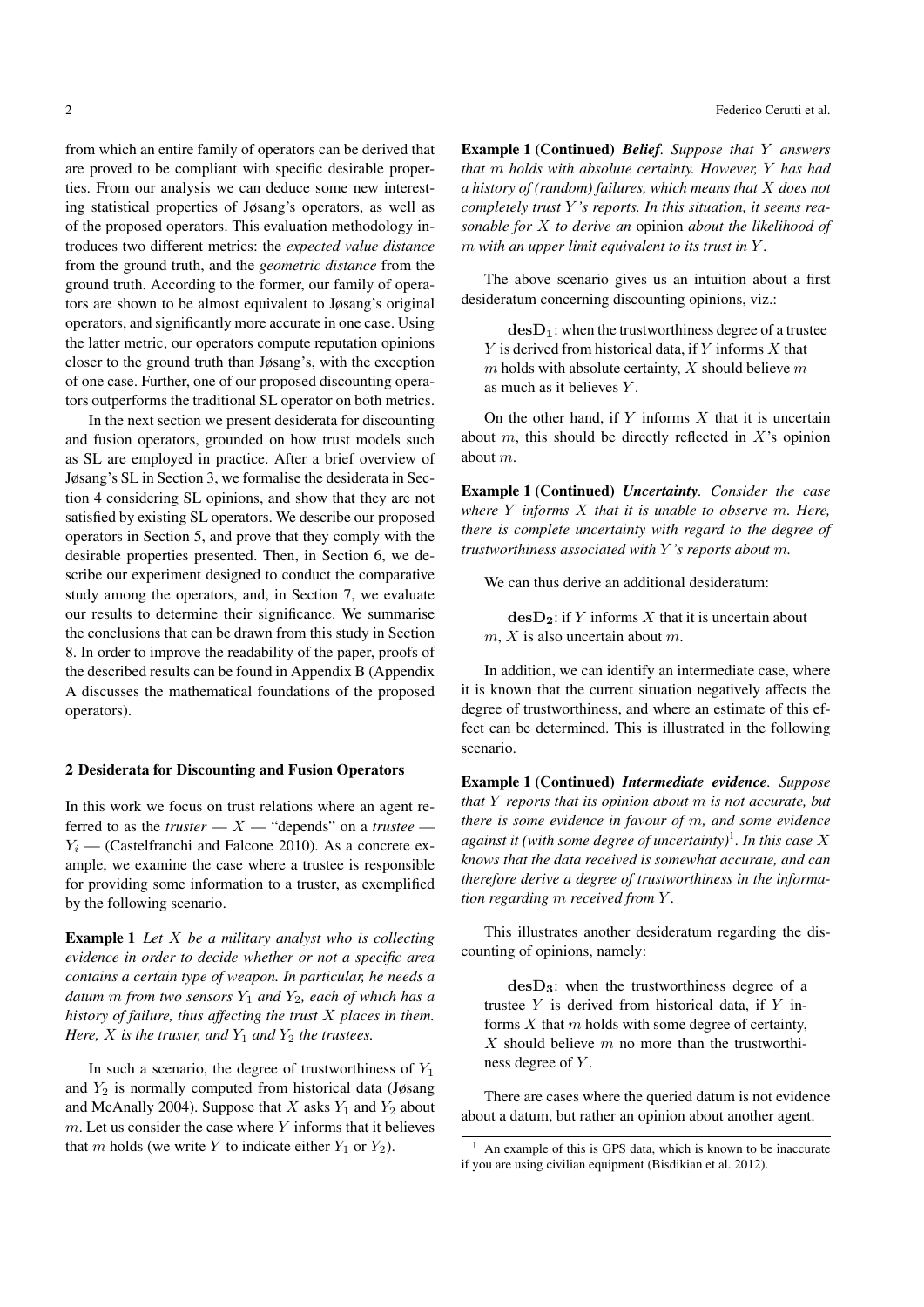from which an entire family of operators can be derived that are proved to be compliant with specific desirable properties. From our analysis we can deduce some new interesting statistical properties of Jøsang's operators, as well as of the proposed operators. This evaluation methodology introduces two different metrics: the *expected value distance* from the ground truth, and the *geometric distance* from the ground truth. According to the former, our family of operators are shown to be almost equivalent to Jøsang's original operators, and significantly more accurate in one case. Using the latter metric, our operators compute reputation opinions closer to the ground truth than Jøsang's, with the exception of one case. Further, one of our proposed discounting operators outperforms the traditional SL operator on both metrics.

In the next section we present desiderata for discounting and fusion operators, grounded on how trust models such as SL are employed in practice. After a brief overview of Jøsang's SL in Section [3,](#page-3-0) we formalise the desiderata in Section [4](#page-4-0) considering SL opinions, and show that they are not satisfied by existing SL operators. We describe our proposed operators in Section [5,](#page-5-0) and prove that they comply with the desirable properties presented. Then, in Section [6,](#page-7-0) we describe our experiment designed to conduct the comparative study among the operators, and, in Section [7,](#page-9-0) we evaluate our results to determine their significance. We summarise the conclusions that can be drawn from this study in Section [8.](#page-14-4) In order to improve the readability of the paper, proofs of the described results can be found in Appendix [B](#page-16-0) (Appendix [A](#page-15-3) discusses the mathematical foundations of the proposed operators).

#### <span id="page-2-2"></span>2 Desiderata for Discounting and Fusion Operators

In this work we focus on trust relations where an agent referred to as the *truster* —  $X$  — "depends" on a *trustee* —  $Y_i$  — [\(Castelfranchi and Falcone 2010\)](#page-14-5). As a concrete example, we examine the case where a trustee is responsible for providing some information to a truster, as exemplified by the following scenario.

<span id="page-2-1"></span>Example 1 *Let* X *be a military analyst who is collecting evidence in order to decide whether or not a specific area contains a certain type of weapon. In particular, he needs a datum* m *from two sensors*  $Y_1$  *and*  $Y_2$ *, each of which has a history of failure, thus affecting the trust* X *places in them. Here,*  $X$  *is the truster, and*  $Y_1$  *and*  $Y_2$  *the trustees.* 

In such a scenario, the degree of trustworthiness of  $Y_1$ and  $Y_2$  is normally computed from historical data [\(Jøsang](#page-14-6) [and McAnally 2004\)](#page-14-6). Suppose that  $X$  asks  $Y_1$  and  $Y_2$  about  $m$ . Let us consider the case where  $Y$  informs that it believes that m holds (we write Y to indicate either  $Y_1$  or  $Y_2$ ).

Example 1 (Continued) *Belief. Suppose that* Y *answers that* m *holds with absolute certainty. However,* Y *has had a history of (random) failures, which means that* X *does not completely trust* Y *'s reports. In this situation, it seems reasonable for* X *to derive an* opinion *about the likelihood of* m *with an upper limit equivalent to its trust in* Y *.*

The above scenario gives us an intuition about a first desideratum concerning discounting opinions, viz.:

 $desD_1$ : when the trustworthiness degree of a trustee  $Y$  is derived from historical data, if  $Y$  informs  $X$  that  $m$  holds with absolute certainty,  $X$  should believe  $m$ as much as it believes Y .

On the other hand, if  $Y$  informs  $X$  that it is uncertain about  $m$ , this should be directly reflected in  $X$ 's opinion about m.

Example 1 (Continued) *Uncertainty. Consider the case where* Y *informs* X *that it is unable to observe* m*. Here, there is complete uncertainty with regard to the degree of trustworthiness associated with* Y *'s reports about* m*.*

We can thus derive an additional desideratum:

 $\text{des}D_2$ : if Y informs X that it is uncertain about  $m, X$  is also uncertain about  $m$ .

In addition, we can identify an intermediate case, where it is known that the current situation negatively affects the degree of trustworthiness, and where an estimate of this effect can be determined. This is illustrated in the following scenario.

Example 1 (Continued) *Intermediate evidence. Suppose that* Y *reports that its opinion about* m *is not accurate, but there is some evidence in favour of* m*, and some evidence against it (with some degree of uncertainty)*[1](#page-2-0) *. In this case* X *knows that the data received is somewhat accurate, and can therefore derive a degree of trustworthiness in the information regarding* m *received from* Y *.*

This illustrates another desideratum regarding the discounting of opinions, namely:

 $desD<sub>3</sub>$ : when the trustworthiness degree of a trustee  $Y$  is derived from historical data, if  $Y$  informs  $X$  that  $m$  holds with some degree of certainty,  $X$  should believe  $m$  no more than the trustworthiness degree of Y.

There are cases where the queried datum is not evidence about a datum, but rather an opinion about another agent.

<span id="page-2-0"></span> $<sup>1</sup>$  An example of this is GPS data, which is known to be inaccurate</sup> if you are using civilian equipment [\(Bisdikian et al. 2012\)](#page-14-7).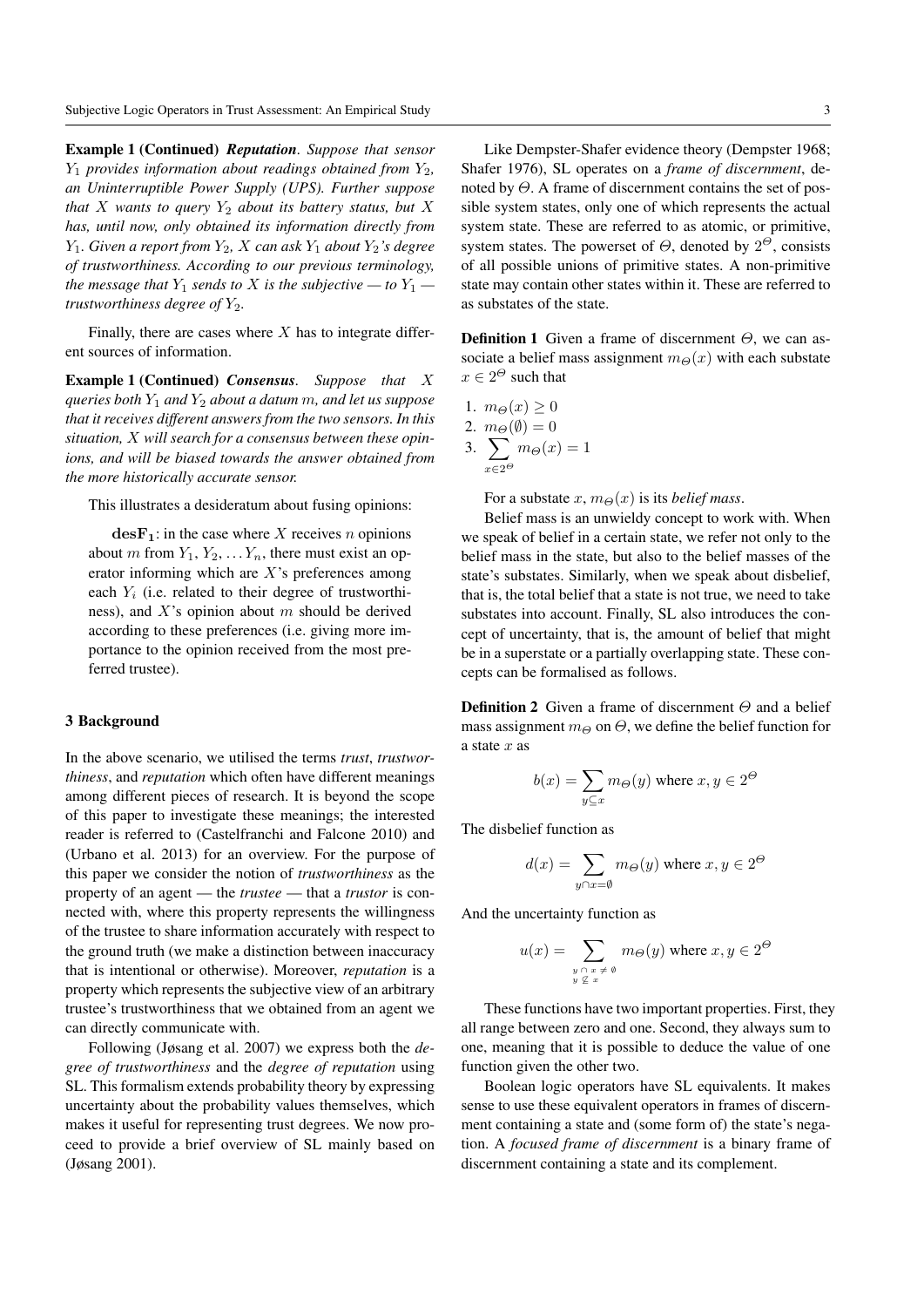Example 1 (Continued) *Reputation. Suppose that sensor*  $Y_1$  *provides information about readings obtained from*  $Y_2$ , *an Uninterruptible Power Supply (UPS). Further suppose that*  $X$  *wants to query*  $Y_2$  *about its battery status, but*  $X$ *has, until now, only obtained its information directly from*  $Y_1$ *. Given a report from*  $Y_2$ *, X can ask*  $Y_1$  *about*  $Y_2$ *'s degree of trustworthiness. According to our previous terminology, the message that*  $Y_1$  *sends to*  $X$  *is the subjective* — to  $Y_1$  *trustworthiness degree of*  $Y_2$ *.* 

Finally, there are cases where  $X$  has to integrate different sources of information.

Example 1 (Continued) *Consensus. Suppose that* X *queries both* Y<sup>1</sup> *and* Y<sup>2</sup> *about a datum* m*, and let us suppose that it receives different answers from the two sensors. In this situation,* X *will search for a consensus between these opinions, and will be biased towards the answer obtained from the more historically accurate sensor.*

This illustrates a desideratum about fusing opinions:

 $\mathbf{desF}_1$ : in the case where X receives n opinions about m from  $Y_1, Y_2, \ldots, Y_n$ , there must exist an operator informing which are  $X$ 's preferences among each  $Y_i$  (i.e. related to their degree of trustworthiness), and  $X$ 's opinion about  $m$  should be derived according to these preferences (i.e. giving more importance to the opinion received from the most preferred trustee).

#### <span id="page-3-0"></span>3 Background

In the above scenario, we utilised the terms *trust*, *trustworthiness*, and *reputation* which often have different meanings among different pieces of research. It is beyond the scope of this paper to investigate these meanings; the interested reader is referred to [\(Castelfranchi and Falcone 2010\)](#page-14-5) and [\(Urbano et al. 2013\)](#page-15-4) for an overview. For the purpose of this paper we consider the notion of *trustworthiness* as the property of an agent — the *trustee* — that a *trustor* is connected with, where this property represents the willingness of the trustee to share information accurately with respect to the ground truth (we make a distinction between inaccuracy that is intentional or otherwise). Moreover, *reputation* is a property which represents the subjective view of an arbitrary trustee's trustworthiness that we obtained from an agent we can directly communicate with.

Following [\(Jøsang et al. 2007\)](#page-14-8) we express both the *degree of trustworthiness* and the *degree of reputation* using SL. This formalism extends probability theory by expressing uncertainty about the probability values themselves, which makes it useful for representing trust degrees. We now proceed to provide a brief overview of SL mainly based on [\(Jøsang 2001\)](#page-14-2).

Like Dempster-Shafer evidence theory [\(Dempster 1968;](#page-14-9) [Shafer 1976\)](#page-15-5), SL operates on a *frame of discernment*, denoted by  $\Theta$ . A frame of discernment contains the set of possible system states, only one of which represents the actual system state. These are referred to as atomic, or primitive, system states. The powerset of  $\Theta$ , denoted by  $2^{\Theta}$ , consists of all possible unions of primitive states. A non-primitive state may contain other states within it. These are referred to as substates of the state.

**Definition 1** Given a frame of discernment  $\Theta$ , we can associate a belief mass assignment  $m_{\Theta}(x)$  with each substate  $x \in 2^{\Theta}$  such that

1.  $m_{\Theta}(x) \geq 0$ 2.  $m_{\Theta}(\emptyset) = 0$  $3. \sum$  $x \in 2^{\Theta}$  $m_{\Theta}(x) = 1$ 

For a substate x,  $m_{\Theta}(x)$  is its *belief mass*.

Belief mass is an unwieldy concept to work with. When we speak of belief in a certain state, we refer not only to the belief mass in the state, but also to the belief masses of the state's substates. Similarly, when we speak about disbelief, that is, the total belief that a state is not true, we need to take substates into account. Finally, SL also introduces the concept of uncertainty, that is, the amount of belief that might be in a superstate or a partially overlapping state. These concepts can be formalised as follows.

**Definition 2** Given a frame of discernment  $\Theta$  and a belief mass assignment  $m_{\Theta}$  on  $\Theta$ , we define the belief function for a state  $x$  as

$$
b(x) = \sum_{y \subseteq x} m_{\Theta}(y) \text{ where } x, y \in 2^{\Theta}
$$

The disbelief function as

$$
d(x) = \sum_{y \cap x = \emptyset} m_{\Theta}(y) \text{ where } x, y \in 2^{\Theta}
$$

And the uncertainty function as

$$
u(x) = \sum_{\substack{y \cap x \neq \emptyset \\ y \subsetneq x}} m_{\Theta}(y) \text{ where } x, y \in 2^{\Theta}
$$

These functions have two important properties. First, they all range between zero and one. Second, they always sum to one, meaning that it is possible to deduce the value of one function given the other two.

Boolean logic operators have SL equivalents. It makes sense to use these equivalent operators in frames of discernment containing a state and (some form of) the state's negation. A *focused frame of discernment* is a binary frame of discernment containing a state and its complement.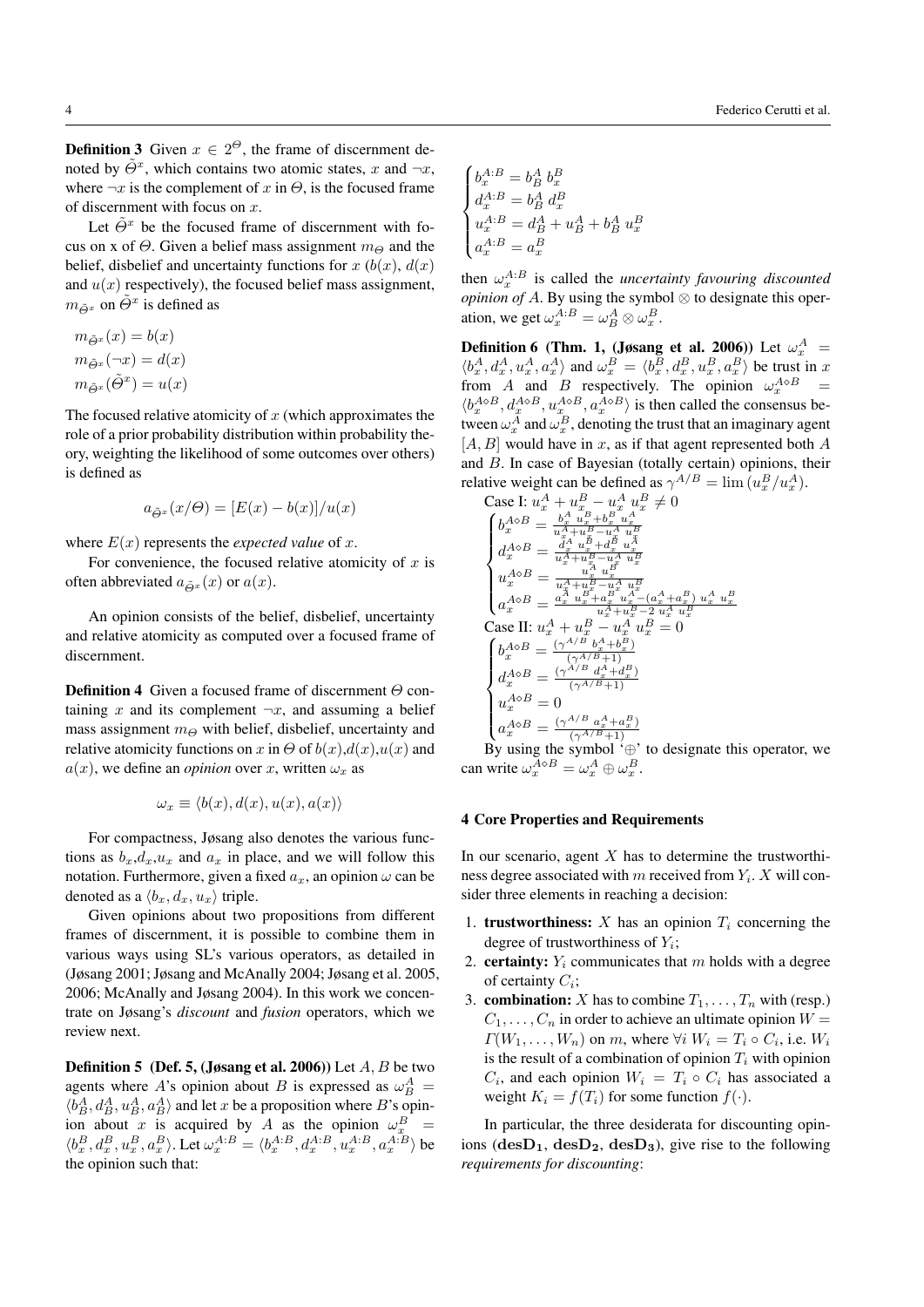**Definition 3** Given  $x \in 2^{\Theta}$ , the frame of discernment denoted by  $\tilde{\Theta}^x$ , which contains two atomic states, x and  $\neg x$ , where  $\neg x$  is the complement of x in  $\Theta$ , is the focused frame of discernment with focus on x.

Let  $\tilde{\Theta}^x$  be the focused frame of discernment with focus on x of  $\Theta$ . Given a belief mass assignment  $m_{\Theta}$  and the belief, disbelief and uncertainty functions for  $x (b(x), d(x))$ and  $u(x)$  respectively), the focused belief mass assignment,  $m_{\tilde{\Theta}^x}$  on  $\tilde{\Theta}^x$  is defined as

$$
m_{\tilde{\Theta}^x}(x) = b(x)
$$
  
\n
$$
m_{\tilde{\Theta}^x}(-x) = d(x)
$$
  
\n
$$
m_{\tilde{\Theta}^x}(\tilde{\Theta}^x) = u(x)
$$

The focused relative atomicity of  $x$  (which approximates the role of a prior probability distribution within probability theory, weighting the likelihood of some outcomes over others) is defined as

$$
a_{\tilde{\Theta}^x}(x/\Theta) = [E(x) - b(x)]/u(x)
$$

where  $E(x)$  represents the *expected value* of x.

For convenience, the focused relative atomicity of  $x$  is often abbreviated  $a_{\tilde{\Theta}x}(x)$  or  $a(x)$ .

An opinion consists of the belief, disbelief, uncertainty and relative atomicity as computed over a focused frame of discernment.

**Definition 4** Given a focused frame of discernment  $\Theta$  containing x and its complement  $\neg x$ , and assuming a belief mass assignment  $m_{\Theta}$  with belief, disbelief, uncertainty and relative atomicity functions on x in  $\Theta$  of  $b(x)$ , $d(x)$ , $u(x)$  and  $a(x)$ , we define an *opinion* over x, written  $\omega_x$  as

$$
\omega_x \equiv \langle b(x), d(x), u(x), a(x) \rangle
$$

For compactness, Jøsang also denotes the various functions as  $b_x, d_x, u_x$  and  $a_x$  in place, and we will follow this notation. Furthermore, given a fixed  $a_x$ , an opinion  $\omega$  can be denoted as a  $\langle b_x, d_x, u_x \rangle$  triple.

Given opinions about two propositions from different frames of discernment, it is possible to combine them in various ways using SL's various operators, as detailed in [\(Jøsang 2001;](#page-14-2) [Jøsang and McAnally 2004;](#page-14-6) [Jøsang et al. 2005,](#page-14-10) [2006;](#page-14-11) [McAnally and Jøsang 2004\)](#page-15-6). In this work we concentrate on Jøsang's *discount* and *fusion* operators, which we review next.

**Definition 5** (Def. 5, [\(Jøsang et al. 2006\)](#page-14-11)) Let  $A, B$  be two agents where A's opinion about B is expressed as  $\omega_B^A$  =  $\langle b_B^A, d_B^A, u_B^A, a_B^A \rangle$  and let x be a proposition where B's opinion about x is acquired by A as the opinion  $\omega_x^B$  =  $\langle b_x^B, d_x^B, u_x^B, a_x^B \rangle$ . Let  $\omega_x^{A:B} = \langle b_x^{A:B}, d_x^{A:B}, u_x^{A:B}, a_x^{A:B} \rangle$  be the opinion such that:

$$
\begin{cases} b_x^{A:B} = b_B^A \; b_x^B \\ d_x^{A:B} = b_B^A \; d_x^B \\ u_x^{A:B} = d_B^A + u_B^A + b_B^A \; u_x^B \\ a_x^{A:B} = a_x^B \end{cases}
$$

then  $\omega_x^{A:B}$  is called the *uncertainty favouring discounted opinion of A*. By using the symbol ⊗ to designate this operation, we get  $\omega_x^{A:B} = \omega_B^A \otimes \omega_x^B$ .

**Definition 6** (Thm. 1, [\(Jøsang et al. 2006\)](#page-14-11)) Let  $\omega_x^A$  =  $\langle b_x^A, d_x^A, u_x^A, a_x^A \rangle$  and  $\omega_x^B = \langle b_x^B, d_x^B, u_x^B, a_x^B \rangle$  be trust in x from A and B respectively. The opinion  $\omega_x^{A \diamond B}$  =  $\langle b_x^{A\diamond B}, d_x^{A\diamond B}, u_x^{A\diamond B}\rangle$  is then called the consensus between  $\omega_x^A$  and  $\omega_x^B$ , denoting the trust that an imaginary agent  $[A, B]$  would have in x, as if that agent represented both A and  $B$ . In case of Bayesian (totally certain) opinions, their relative weight can be defined as  $\gamma^{A/B} = \lim_{x \to a} (u_x^B/u_x^A)$ .

Case I: 
$$
u_A^A + u_B^B - u_x^A u_B^B \neq 0
$$
  
\n
$$
\begin{cases}\nb_x^{A\odot B} = \frac{b_x^A u_x^B + b_x^B u_x^A}{u_x^A + u_x^B - u_x^A u_x^B} \\
d_x^{A\odot B} = \frac{d_x^A u_x^B + d_x^B u_x^A}{u_x^A + u_x^B - u_x^A u_x^B} \\
u_x^{A\odot B} = \frac{d_x^A u_x^B + d_x^B u_x^A}{u_x^A + u_x^B - u_x^A u_x^B} \\
u_x^{A\odot B} = \frac{u_x^A u_x^B - u_x^A u_x^B}{u_x^A + u_x^B - u_x^A u_x^B - u_x^A u_x^B} \\
G \text{ase II: } u_x^A + u_x^B - u_x^A u_x^B = 0 \\
\text{Case II: } u_x^A + u_x^B - u_x^A u_x^B = 0 \\
u_x^{A\odot B} = \frac{(\gamma^{A/B} b_x^A + b_x^B)}{(\gamma^{A/B} + 1)} \\
d_x^{A\odot B} = \frac{(\gamma^{A/B} d_x^A + d_x^B)}{(\gamma^{A/B} + 1)} \\
u_x^{A\odot B} = 0 \\
a_x^{A\odot B} = \frac{(\gamma^{A/B} a_x^A + a_x^B)}{(\gamma^{A/B} + 1)}\n\end{cases}
$$

By using the symbol '⊕' to designate this operator, we can write  $\omega_x^{A \diamond B} = \omega_x^A \oplus \omega_x^B$ .

#### <span id="page-4-0"></span>4 Core Properties and Requirements

In our scenario, agent  $X$  has to determine the trustworthiness degree associated with  $m$  received from  $Y_i$ .  $X$  will consider three elements in reaching a decision:

- 1. **trustworthiness:** X has an opinion  $T_i$  concerning the degree of trustworthiness of  $Y_i$ ;
- 2. certainty:  $Y_i$  communicates that m holds with a degree of certainty  $C_i$ ;
- 3. **combination:** X has to combine  $T_1, \ldots, T_n$  with (resp.)  $C_1, \ldots, C_n$  in order to achieve an ultimate opinion  $W =$  $\Gamma(W_1, \ldots, W_n)$  on m, where  $\forall i \ W_i = T_i \circ C_i$ , i.e.  $W_i$ is the result of a combination of opinion  $T_i$  with opinion  $C_i$ , and each opinion  $W_i = T_i \circ C_i$  has associated a weight  $K_i = f(T_i)$  for some function  $f(\cdot)$ .

In particular, the three desiderata for discounting opinions  $(desD_1, desD_2, desD_3)$ , give rise to the following *requirements for discounting*: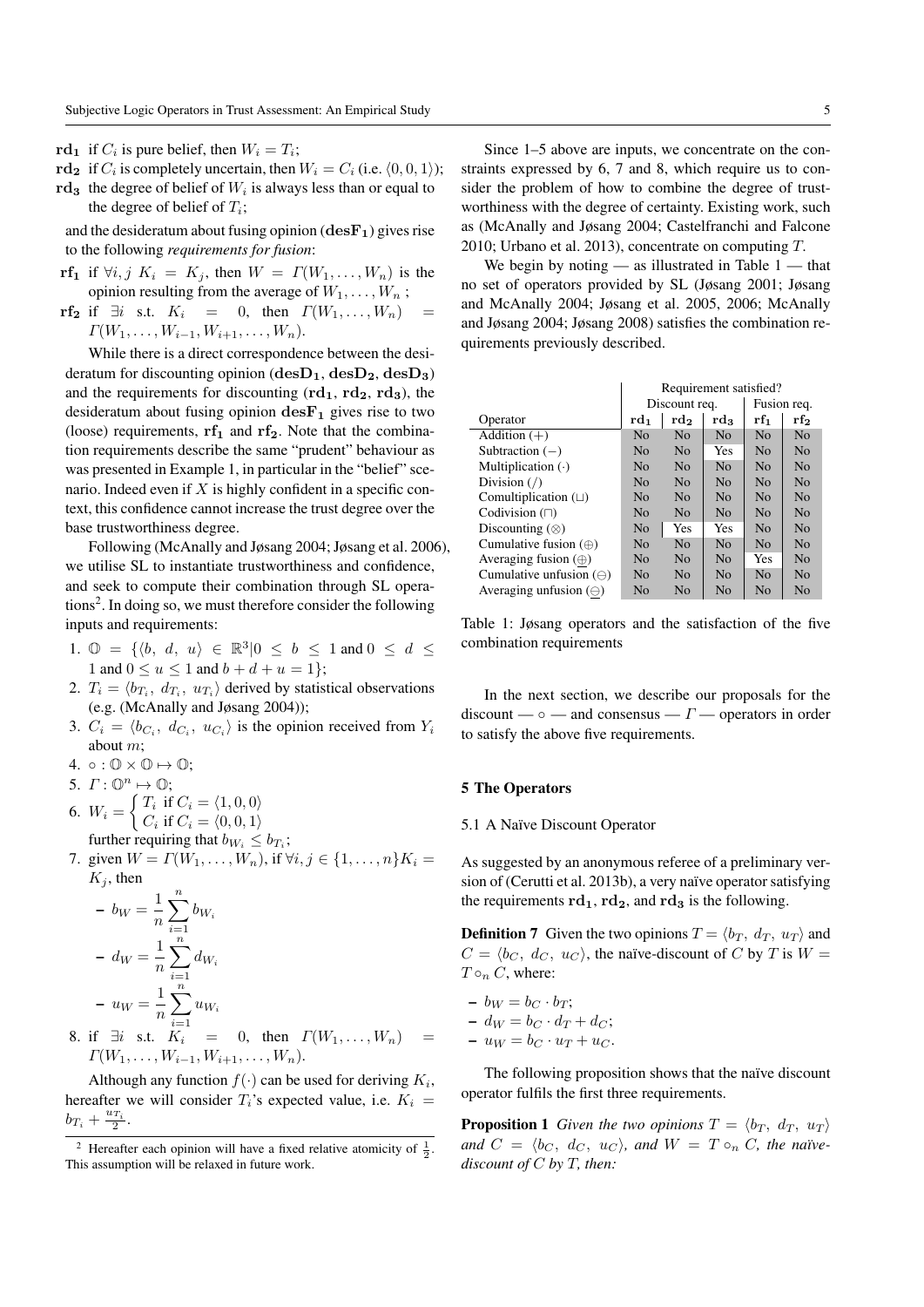- rd<sub>1</sub> if  $C_i$  is pure belief, then  $W_i = T_i$ ;
- $\mathbf{rd}_2$  if  $C_i$  is completely uncertain, then  $W_i = C_i$  (i.e.  $\langle 0, 0, 1 \rangle$ );
- $\mathbf{rd}_3$  the degree of belief of  $W_i$  is always less than or equal to the degree of belief of  $T_i$ ;

and the desideratum about fusing opinion  $(desF_1)$  gives rise to the following *requirements for fusion*:

- rf<sub>1</sub> if  $\forall i, j$   $K_i = K_j$ , then  $W = \Gamma(W_1, \ldots, W_n)$  is the opinion resulting from the average of  $W_1, \ldots, W_n$ ;
- rf<sub>2</sub> if  $\exists i$  s.t.  $K_i = 0$ , then  $\Gamma(W_1, \ldots, W_n)$  $\Gamma(W_1, \ldots, W_{i-1}, W_{i+1}, \ldots, W_n).$

While there is a direct correspondence between the desideratum for discounting opinion  $(desD_1, desD_2, desD_3)$ and the requirements for discounting  $\text{(rd}_1, \text{rd}_2, \text{rd}_3)$ , the desideratum about fusing opinion  $\text{des}F_1$  gives rise to two (loose) requirements,  $\mathbf{rf}_1$  and  $\mathbf{rf}_2$ . Note that the combination requirements describe the same "prudent" behaviour as was presented in Example [1,](#page-2-1) in particular in the "belief" scenario. Indeed even if  $X$  is highly confident in a specific context, this confidence cannot increase the trust degree over the base trustworthiness degree.

Following [\(McAnally and Jøsang 2004;](#page-15-6) [Jøsang et al. 2006\)](#page-14-11), we utilise SL to instantiate trustworthiness and confidence, and seek to compute their combination through SL opera-tions<sup>[2](#page-5-1)</sup>. In doing so, we must therefore consider the following inputs and requirements:

- 1.  $\mathbb{O} = \{ \langle b, d, u \rangle \in \mathbb{R}^3 | 0 \leq b \leq 1 \text{ and } 0 \leq d \leq$ 1 and  $0 \le u \le 1$  and  $b + d + u = 1$ ;
- 2.  $T_i = \langle b_{T_i}, d_{T_i}, u_{T_i} \rangle$  derived by statistical observations (e.g. [\(McAnally and Jøsang 2004\)](#page-15-6));
- 3.  $C_i = \langle b_{C_i}, d_{C_i}, u_{C_i} \rangle$  is the opinion received from  $Y_i$ about m;
- 4.  $\circ$  :  $\mathbb{O} \times \mathbb{O} \mapsto \mathbb{O}$ ;
- 5.  $\Gamma: \mathbb{O}^n \mapsto \mathbb{O};$
- 6.  $W_i = \begin{cases} T_i & \text{if } C_i = \langle 1, 0, 0 \rangle \\ C_i & \text{if } C_i = \langle 0, 0, 1 \rangle \end{cases}$  $C_i$  if  $C_i = \langle 0, 0, 1 \rangle$
- further requiring that  $b_{W_i} \leq b_{T_i}$ ; 7. given  $W = \Gamma(W_1, \ldots, W_n)$ , if  $\forall i, j \in \{1, \ldots, n\}$  $K_i =$  $K_i$ , then

$$
-b_W = \frac{1}{n} \sum_{i=1}^{n} b_{W_i}
$$

$$
-d_W = \frac{1}{n} \sum_{i=1}^{n} d_{W_i}
$$

$$
-u_W = \frac{1}{n} \sum_{i=1}^{n} u_{W_i}
$$

8. if  $\exists i$  s.t.  $K_i = 0$ , then  $\Gamma(W_1, \dots, W_n) =$  $\Gamma(W_1, \ldots, W_{i-1}, W_{i+1}, \ldots, W_n).$ 

Although any function  $f(\cdot)$  can be used for deriving  $K_i$ , hereafter we will consider  $T_i$ 's expected value, i.e.  $K_i$  =  $b_{T_i} + \frac{u_{T_i}}{2}$ .

Since 1–5 above are inputs, we concentrate on the constraints expressed by 6, 7 and 8, which require us to consider the problem of how to combine the degree of trustworthiness with the degree of certainty. Existing work, such as [\(McAnally and Jøsang 2004;](#page-15-6) [Castelfranchi and Falcone](#page-14-5) [2010;](#page-14-5) [Urbano et al. 2013\)](#page-15-4), concentrate on computing  $T$ .

We begin by noting  $-$  as illustrated in Table  $1 -$  that no set of operators provided by SL [\(Jøsang 2001;](#page-14-2) [Jøsang](#page-14-6) [and McAnally 2004;](#page-14-6) [Jøsang et al. 2005,](#page-14-10) [2006;](#page-14-11) [McAnally](#page-15-6) [and Jøsang 2004;](#page-15-6) [Jøsang 2008\)](#page-14-12) satisfies the combination requirements previously described.

<span id="page-5-2"></span>

|                                     | Requirement satisfied? |                 |                |                 |                 |
|-------------------------------------|------------------------|-----------------|----------------|-----------------|-----------------|
|                                     | Discount req.          |                 |                | Fusion req.     |                 |
| Operator                            | rd <sub>1</sub>        | rd <sub>2</sub> | $rd_3$         | rf <sub>1</sub> | rf <sub>2</sub> |
| Addition $(+)$                      | N <sub>0</sub>         | N <sub>0</sub>  | N <sub>0</sub> | N <sub>0</sub>  | N <sub>0</sub>  |
| Subtraction $(-)$                   | N <sub>0</sub>         | N <sub>0</sub>  | <b>Yes</b>     | N <sub>0</sub>  | N <sub>0</sub>  |
| Multiplication $(\cdot)$            | N <sub>0</sub>         | N <sub>0</sub>  | N <sub>0</sub> | N <sub>0</sub>  | N <sub>0</sub>  |
| Division $\left(\frac{1}{2}\right)$ | N <sub>0</sub>         | N <sub>0</sub>  | N <sub>0</sub> | N <sub>0</sub>  | N <sub>0</sub>  |
| Comultiplication $(\sqcup)$         | N <sub>0</sub>         | N <sub>0</sub>  | N <sub>0</sub> | N <sub>0</sub>  | N <sub>0</sub>  |
| Codivision $(\square)$              | N <sub>0</sub>         | N <sub>0</sub>  | N <sub>0</sub> | N <sub>0</sub>  | N <sub>0</sub>  |
| Discounting $(\otimes)$             | N <sub>0</sub>         | <b>Yes</b>      | <b>Yes</b>     | N <sub>0</sub>  | N <sub>0</sub>  |
| Cumulative fusion $(\oplus)$        | N <sub>0</sub>         | N <sub>0</sub>  | N <sub>0</sub> | N <sub>0</sub>  | N <sub>0</sub>  |
| Averaging fusion $(\oplus)$         | N <sub>0</sub>         | N <sub>0</sub>  | N <sub>0</sub> | Yes             | N <sub>0</sub>  |
| Cumulative unfusion $(\ominus)$     | N <sub>0</sub>         | N <sub>0</sub>  | N <sub>0</sub> | N <sub>0</sub>  | N <sub>0</sub>  |
| Averaging unfusion $(\ominus)$      | N <sub>0</sub>         | N <sub>0</sub>  | N <sub>0</sub> | N <sub>0</sub>  | N <sub>0</sub>  |

Table 1: Jøsang operators and the satisfaction of the five combination requirements

In the next section, we describe our proposals for the discount —  $\circ$  — and consensus —  $\Gamma$  — operators in order to satisfy the above five requirements.

#### <span id="page-5-0"></span>5 The Operators

#### 5.1 A Naïve Discount Operator

As suggested by an anonymous referee of a preliminary version of [\(Cerutti et al. 2013b\)](#page-14-13), a very naïve operator satisfying the requirements  $rd_1, rd_2,$  and  $rd_3$  is the following.

<span id="page-5-3"></span>**Definition 7** Given the two opinions  $T = \langle b_T, d_T, u_T \rangle$  and  $C = \langle b_C, d_C, u_C \rangle$ , the naïve-discount of C by T is  $W =$  $T \circ_n C$ , where:

$$
- b_W = b_C \cdot b_T;
$$
  
\n
$$
- d_W = b_C \cdot d_T + d_C;
$$
  
\n
$$
- u_W = b_C \cdot u_T + u_C.
$$

The following proposition shows that the naïve discount operator fulfils the first three requirements.

**Proposition 1** *Given the two opinions*  $T = \langle b_T, d_T, u_T \rangle$ and  $C = \langle b_C, d_C, u_C \rangle$ , and  $W = T \circ_n C$ , the naïve*discount of* C *by* T*, then:*

<span id="page-5-1"></span><sup>&</sup>lt;sup>2</sup> Hereafter each opinion will have a fixed relative atomicity of  $\frac{1}{2}$ . This assumption will be relaxed in future work.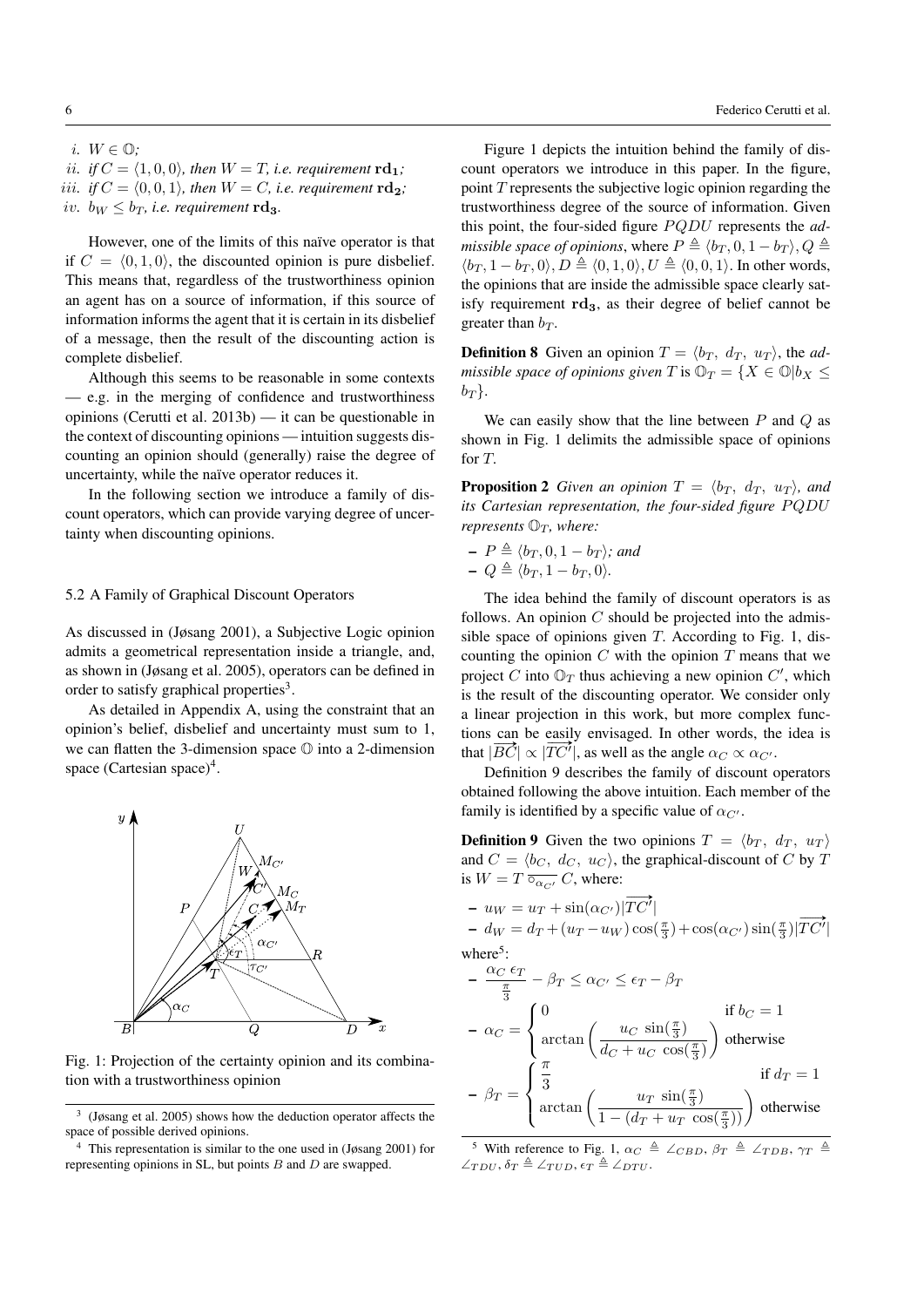ii. if  $C = \langle 1, 0, 0 \rangle$ , then  $W = T$ , i.e. requirement  $\mathbf{rd}_1$ ; iii. if  $C = \langle 0, 0, 1 \rangle$ , then  $W = C$ , i.e. requirement  $\mathbf{rd}_2$ ;

iv.  $b_W \leq b_T$ , *i.e. requirement* **rd**<sub>3</sub>.

However, one of the limits of this naïve operator is that if  $C = \langle 0, 1, 0 \rangle$ , the discounted opinion is pure disbelief. This means that, regardless of the trustworthiness opinion an agent has on a source of information, if this source of information informs the agent that it is certain in its disbelief of a message, then the result of the discounting action is complete disbelief.

Although this seems to be reasonable in some contexts — e.g. in the merging of confidence and trustworthiness opinions [\(Cerutti et al. 2013b\)](#page-14-13) — it can be questionable in the context of discounting opinions — intuition suggests discounting an opinion should (generally) raise the degree of uncertainty, while the naïve operator reduces it.

In the following section we introduce a family of discount operators, which can provide varying degree of uncertainty when discounting opinions.

#### 5.2 A Family of Graphical Discount Operators

As discussed in [\(Jøsang 2001\)](#page-14-2), a Subjective Logic opinion admits a geometrical representation inside a triangle, and, as shown in [\(Jøsang et al. 2005\)](#page-14-10), operators can be defined in order to satisfy graphical properties<sup>[3](#page-6-0)</sup>.

As detailed in Appendix [A,](#page-15-3) using the constraint that an opinion's belief, disbelief and uncertainty must sum to 1, we can flatten the 3-dimension space O into a 2-dimension space (Cartesian space)<sup>[4](#page-6-1)</sup>.

<span id="page-6-2"></span>

Fig. 1: Projection of the certainty opinion and its combination with a trustworthiness opinion

Figure [1](#page-6-2) depicts the intuition behind the family of discount operators we introduce in this paper. In the figure, point T represents the subjective logic opinion regarding the trustworthiness degree of the source of information. Given this point, the four-sided figure *PQDU* represents the *admissible space of opinions*, where  $P \triangleq \langle b_T, 0, 1 - b_T \rangle, Q \triangleq$  $\langle b_T, 1 - b_T, 0 \rangle$ ,  $D \triangleq \langle 0, 1, 0 \rangle$ ,  $U \triangleq \langle 0, 0, 1 \rangle$ . In other words, the opinions that are inside the admissible space clearly satisfy requirement  $\text{rd}_3$ , as their degree of belief cannot be greater than  $b_T$ .

<span id="page-6-5"></span>**Definition 8** Given an opinion  $T = \langle b_T, d_T, u_T \rangle$ , the *admissible space of opinions given* T is  $\mathbb{O}_T = \{X \in \mathbb{O} | b_X \leq \mathbb{O} \}$  $b_T$ .

We can easily show that the line between  $P$  and  $Q$  as shown in Fig. [1](#page-6-2) delimits the admissible space of opinions for T.

**Proposition 2** *Given an opinion*  $T = \langle b_T, d_T, u_T \rangle$ *, and its Cartesian representation, the four-sided figure PQDU represents*  $\mathbb{O}_T$ *, where:* 

$$
- P \triangleq \langle b_T, 0, 1 - b_T \rangle; \text{ and} \\ - Q \triangleq \langle b_T, 1 - b_T, 0 \rangle.
$$

The idea behind the family of discount operators is as follows. An opinion  $C$  should be projected into the admissible space of opinions given  $T$ . According to Fig. [1,](#page-6-2) discounting the opinion  $C$  with the opinion  $T$  means that we project C into  $\mathbb{O}_T$  thus achieving a new opinion C', which is the result of the discounting operator. We consider only a linear projection in this work, but more complex functions can be easily envisaged. In other words, the idea is tions can be easily envisaged. In other words, the that  $|\overrightarrow{BC}| \propto |\overrightarrow{TC'}|$ , as well as the angle  $\alpha_C \propto \alpha_{C'}$ .

Definition [9](#page-6-3) describes the family of discount operators obtained following the above intuition. Each member of the family is identified by a specific value of  $\alpha_{C'}$ .

<span id="page-6-3"></span>**Definition 9** Given the two opinions  $T = \langle b_T, d_T, u_T \rangle$ and  $C = \langle b_C, d_C, u_C \rangle$ , the graphical-discount of C by T is  $W = T \overline{\circ_{\alpha_{C'}} C}$ , where:

$$
- u_W = u_T + \sin(\alpha_{C'}) |\overrightarrow{TC'}|
$$
  
\n
$$
- d_W = d_T + (u_T - u_W) \cos(\frac{\pi}{3}) + \cos(\alpha_{C'}) \sin(\frac{\pi}{3}) |\overrightarrow{TC'}|
$$
  
\nwhere<sup>5</sup>:

$$
-\frac{\alpha_C - \frac{1}{\pi}}{\frac{\pi}{3}} - \beta_T \le \alpha_{C'} \le \epsilon_T - \beta_T
$$
  

$$
-\alpha_C = \begin{cases} 0 & \text{if } b_C = 1 \\ \arctan\left(\frac{u_C \sin(\frac{\pi}{3})}{d_C + u_C \cos(\frac{\pi}{3})}\right) \text{ otherwise} \\ \frac{\pi}{3} & \text{if } d_T = 1 \\ \arctan\left(\frac{u_T \sin(\frac{\pi}{3})}{1 - (d_T + u_T \cos(\frac{\pi}{3}))}\right) \text{ otherwise} \end{cases}
$$

<span id="page-6-0"></span><sup>3</sup> [\(Jøsang et al. 2005\)](#page-14-10) shows how the deduction operator affects the space of possible derived opinions.

<span id="page-6-1"></span><sup>4</sup> This representation is similar to the one used in [\(Jøsang 2001\)](#page-14-2) for representing opinions in SL, but points B and D are swapped.

<span id="page-6-4"></span><sup>&</sup>lt;sup>5</sup> With reference to Fig. [1,](#page-6-2)  $\alpha_C \triangleq \angle$ CBD,  $\beta_T \triangleq \angle$ TDB,  $\gamma_T \triangleq$  $\angle_{TDU}, \delta_T \triangleq \angle_{TUD}, \epsilon_T \triangleq \angle_{DTU}.$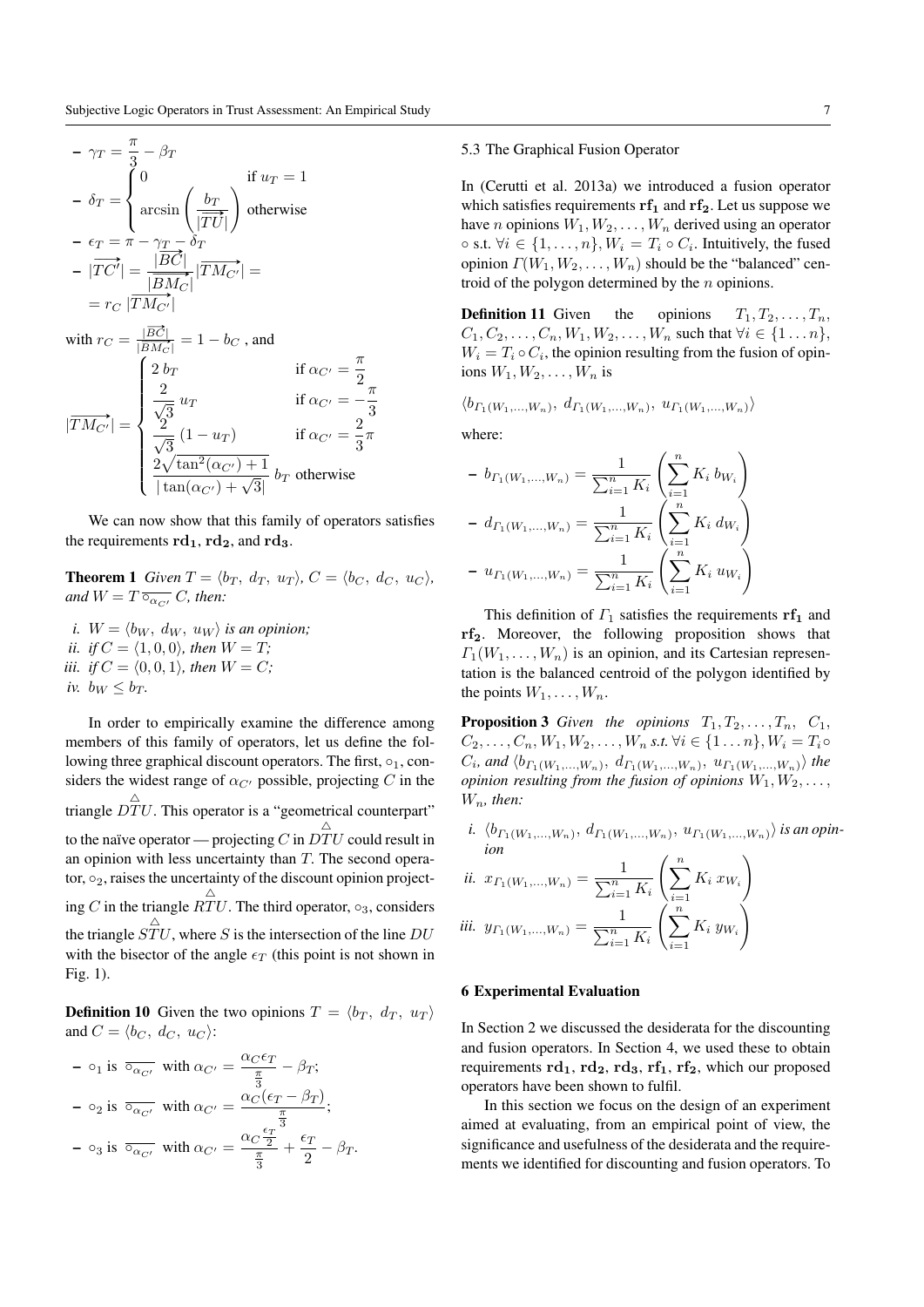$$
-\gamma_T = \frac{\pi}{3} - \beta_T
$$
  
\n
$$
-\delta_T = \begin{cases}\n0 & \text{if } u_T = 1 \\
\arcsin\left(\frac{b_T}{|\overline{T}U|}\right) & \text{otherwise}\n\end{cases}
$$
  
\n
$$
-\epsilon_T = \pi - \gamma_T - \delta_T
$$
  
\n
$$
-|\overline{TC'}| = \frac{|\overline{BC}|}{|\overline{BM_C}|} |\overline{TM_{C'}}| =
$$
  
\n
$$
= r_C |\overline{TM_{C'}}|
$$
  
\nwith  $r_C = \frac{|\overline{BC}|}{|\overline{BM_C}|} = 1 - b_C$ , and  
\n
$$
\text{if } \alpha_{C'} = \frac{\pi}{2}
$$
  
\n
$$
|\overline{TM_{C'}}| = \begin{cases}\n2b_T & \text{if } \alpha_{C'} = \frac{\pi}{2} \\
\frac{2}{\sqrt{3}} & \text{if } \alpha_{C'} = -\frac{\pi}{3} \\
\frac{2\sqrt{\tan^2(\alpha_{C'}) + 1}}{|\tan(\alpha_{C'}) + \sqrt{3}|} & b_T \text{ otherwise}\n\end{cases}
$$

We can now show that this family of operators satisfies the requirements  $\mathbf{rd}_1$ ,  $\mathbf{rd}_2$ , and  $\mathbf{rd}_3$ .

**Theorem 1** *Given*  $T = \langle b_T, d_T, u_T \rangle$ ,  $C = \langle b_C, d_C, u_C \rangle$ , *and*  $W = T \overline{\circ_{\alpha_{C'}} C}$ , then:

*i.*  $W = \langle b_W, d_W, u_W \rangle$  *is an opinion*; *ii. if*  $C = \langle 1, 0, 0 \rangle$ *, then*  $W = T$ ; *iii. if*  $C = \langle 0, 0, 1 \rangle$ *, then*  $W = C$ *; iv.*  $b_W \leq b_T$ .

In order to empirically examine the difference among members of this family of operators, let us define the following three graphical discount operators. The first,  $\circ_1$ , considers the widest range of  $\alpha_{C'}$  possible, projecting C in the triangle  $\overline{DTU}$ . This operator is a "geometrical counterpart" to the naïve operator — projecting C in  $\overrightarrow{DTU}$  could result in an opinion with less uncertainty than T. The second operator,  $\circ_2$ , raises the uncertainty of the discount opinion projecting C in the triangle  $\stackrel{\triangle}{RTU}$ . The third operator,  $\circ_3$ , considers the triangle  $S\overset{\triangle}{T}U$ , where S is the intersection of the line  $DU$ with the bisector of the angle  $\epsilon_T$  (this point is not shown in Fig. [1\)](#page-6-2).

<span id="page-7-1"></span>**Definition 10** Given the two opinions  $T = \langle b_T, d_T, u_T \rangle$ and  $C = \langle b_C, d_C, u_C \rangle$ :

$$
- \circ_1 \text{ is } \overline{\circ_{\alpha_{C'}}} \text{ with } \alpha_{C'} = \frac{\alpha_C \epsilon_T}{\frac{\pi}{3}} - \beta_T;
$$
  
\n
$$
- \circ_2 \text{ is } \overline{\circ_{\alpha_{C'}}} \text{ with } \alpha_{C'} = \frac{\alpha_C (\epsilon_T - \beta_T)}{\frac{\pi}{3}};
$$
  
\n
$$
- \circ_3 \text{ is } \overline{\circ_{\alpha_{C'}}} \text{ with } \alpha_{C'} = \frac{\alpha_C \frac{\epsilon_T}{2}}{\frac{\pi}{3}} + \frac{\epsilon_T}{2} - \beta_T.
$$

#### 5.3 The Graphical Fusion Operator

In [\(Cerutti et al. 2013a\)](#page-14-3) we introduced a fusion operator which satisfies requirements  $\mathbf{rf}_1$  and  $\mathbf{rf}_2$ . Let us suppose we have *n* opinions  $W_1, W_2, \ldots, W_n$  derived using an operator  $\circ$  s.t.  $\forall i \in \{1, \ldots, n\}, W_i = T_i \circ C_i$ . Intuitively, the fused opinion  $\Gamma(W_1, W_2, \ldots, W_n)$  should be the "balanced" centroid of the polygon determined by the  $n$  opinions.

<span id="page-7-2"></span>**Definition 11** Given the opinions  $T_1, T_2, \ldots, T_n$ ,  $C_1, C_2, \ldots, C_n, W_1, W_2, \ldots, W_n$  such that  $\forall i \in \{1 \ldots n\},$  $W_i = T_i \circ C_i$ , the opinion resulting from the fusion of opinions  $W_1, W_2, \ldots, W_n$  is

$$
\langle b_{\Gamma_1(W_1,\ldots,W_n)}, d_{\Gamma_1(W_1,\ldots,W_n)}, u_{\Gamma_1(W_1,\ldots,W_n)}\rangle
$$

where:

$$
- b_{\Gamma_1(W_1,\dots,W_n)} = \frac{1}{\sum_{i=1}^n K_i} \left( \sum_{i=1}^n K_i b_{W_i} \right)
$$

$$
- d_{\Gamma_1(W_1,\dots,W_n)} = \frac{1}{\sum_{i=1}^n K_i} \left( \sum_{i=1}^n K_i d_{W_i} \right)
$$

$$
- u_{\Gamma_1(W_1,\dots,W_n)} = \frac{1}{\sum_{i=1}^n K_i} \left( \sum_{i=1}^n K_i u_{W_i} \right)
$$

This definition of  $\Gamma_1$  satisfies the requirements  $\mathbf{rf}_1$  and rf2. Moreover, the following proposition shows that  $\Gamma_1(W_1,\ldots,W_n)$  is an opinion, and its Cartesian representation is the balanced centroid of the polygon identified by the points  $W_1, \ldots, W_n$ .

**Proposition 3** *Given the opinions*  $T_1, T_2, \ldots, T_n, C_1$ ,  $C_2, \ldots, C_n, W_1, W_2, \ldots, W_n$  *s.t.*  $\forall i \in \{1 \ldots n\}, W_i = T_i \circ$  $C_i$ , and  $\langle b_{\Gamma_1(W_1,...,W_n)}, d_{\Gamma_1(W_1,...,W_n)}, u_{\Gamma_1(W_1,...,W_n)} \rangle$  the *opinion resulting from the fusion of opinions*  $W_1, W_2, \ldots$ , Wn*, then:*

*i.*  $\langle b_{\Gamma_1(W_1,...,W_n)}, d_{\Gamma_1(W_1,...,W_n)}, u_{\Gamma_1(W_1,...,W_n)} \rangle$  *is an opinion*

$$
\begin{aligned}\n\text{ii. } & x_{\Gamma_1(W_1, \dots, W_n)} = \frac{1}{\sum_{i=1}^n K_i} \left( \sum_{i=1}^n K_i \, x_{W_i} \right) \\
\text{iii. } & y_{\Gamma_1(W_1, \dots, W_n)} = \frac{1}{\sum_{i=1}^n K_i} \left( \sum_{i=1}^n K_i \, y_{W_i} \right)\n\end{aligned}
$$

#### <span id="page-7-0"></span>6 Experimental Evaluation

In Section [2](#page-2-2) we discussed the desiderata for the discounting and fusion operators. In Section [4,](#page-4-0) we used these to obtain requirements  $\text{rd}_1$ ,  $\text{rd}_2$ ,  $\text{rd}_3$ ,  $\text{rf}_1$ ,  $\text{rf}_2$ , which our proposed operators have been shown to fulfil.

In this section we focus on the design of an experiment aimed at evaluating, from an empirical point of view, the significance and usefulness of the desiderata and the requirements we identified for discounting and fusion operators. To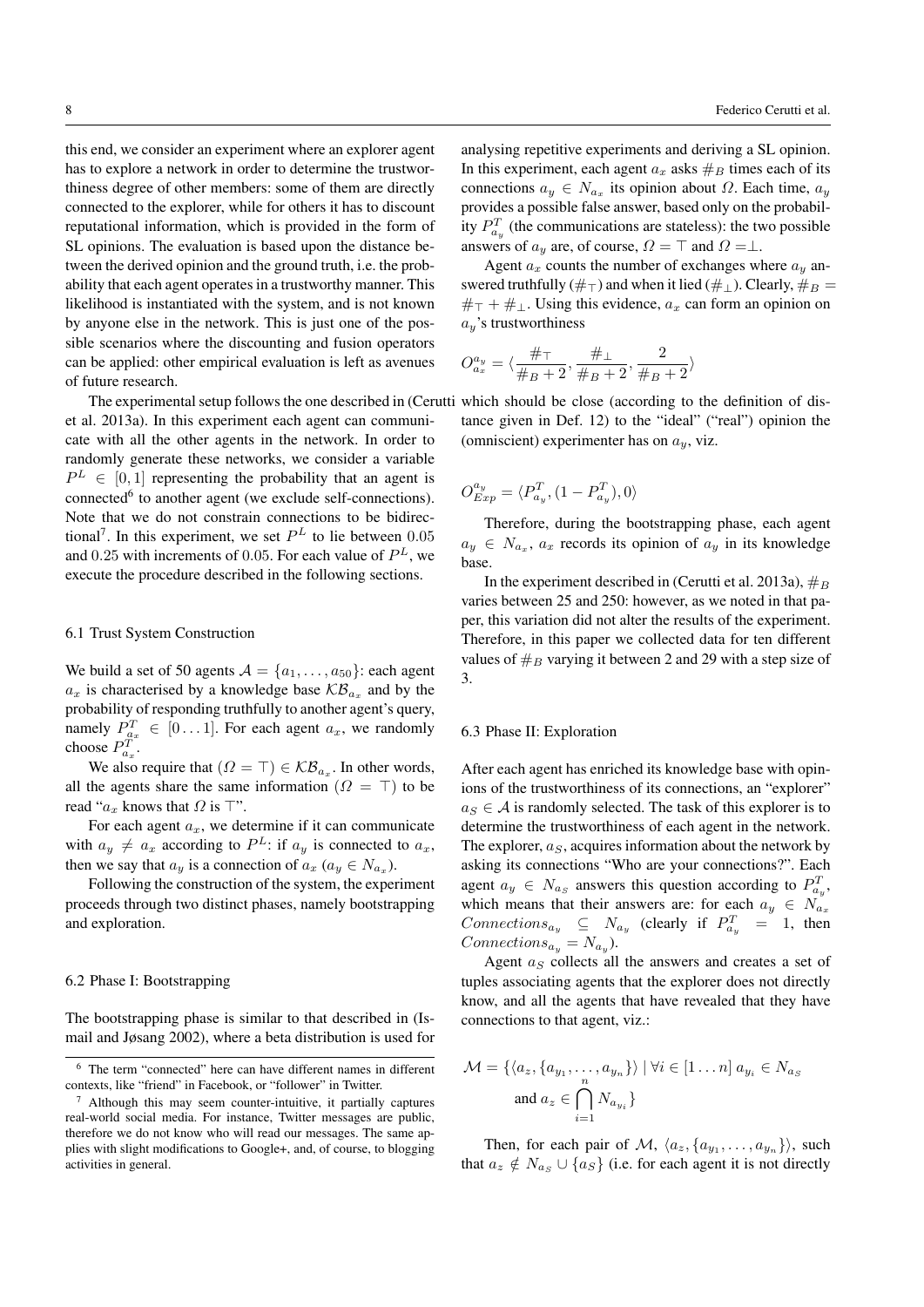this end, we consider an experiment where an explorer agent has to explore a network in order to determine the trustworthiness degree of other members: some of them are directly connected to the explorer, while for others it has to discount reputational information, which is provided in the form of SL opinions. The evaluation is based upon the distance between the derived opinion and the ground truth, i.e. the probability that each agent operates in a trustworthy manner. This likelihood is instantiated with the system, and is not known by anyone else in the network. This is just one of the possible scenarios where the discounting and fusion operators can be applied: other empirical evaluation is left as avenues of future research.

[et al. 2013a\)](#page-14-3). In this experiment each agent can communicate with all the other agents in the network. In order to randomly generate these networks, we consider a variable  $P^L \in [0, 1]$  representing the probability that an agent is connected<sup>[6](#page-8-0)</sup> to another agent (we exclude self-connections). Note that we do not constrain connections to be bidirec-tional<sup>[7](#page-8-1)</sup>. In this experiment, we set  $P<sup>L</sup>$  to lie between 0.05 and 0.25 with increments of 0.05. For each value of  $P<sup>L</sup>$ , we execute the procedure described in the following sections.

#### 6.1 Trust System Construction

We build a set of 50 agents  $A = \{a_1, \ldots, a_{50}\}\)$ : each agent  $a_x$  is characterised by a knowledge base  $\mathcal{KB}_{a_x}$  and by the probability of responding truthfully to another agent's query, namely  $P_{a_x}^T \in [0...1]$ . For each agent  $a_x$ , we randomly choose  $P_{a_x}^T$ .

We also require that  $(\Omega = \top) \in \mathcal{KB}_{a_x}$ . In other words, all the agents share the same information ( $\Omega = \top$ ) to be read " $a_x$  knows that  $\Omega$  is ⊤".

For each agent  $a_x$ , we determine if it can communicate with  $a_y \neq a_x$  according to  $P^L$ : if  $a_y$  is connected to  $a_x$ , then we say that  $a_y$  is a connection of  $a_x$  ( $a_y \in N_{a_x}$ ).

Following the construction of the system, the experiment proceeds through two distinct phases, namely bootstrapping and exploration.

#### 6.2 Phase I: Bootstrapping

The bootstrapping phase is similar to that described in [\(Is](#page-14-14)[mail and Jøsang 2002\)](#page-14-14), where a beta distribution is used for analysing repetitive experiments and deriving a SL opinion. In this experiment, each agent  $a_x$  asks  $\#_B$  times each of its connections  $a_y \in N_{a_x}$  its opinion about  $\Omega$ . Each time,  $a_y$ provides a possible false answer, based only on the probability  $P_{a_y}^T$  (the communications are stateless): the two possible answers of  $a_y$  are, of course,  $\Omega = \top$  and  $\Omega = \bot$ .

Agent  $a_x$  counts the number of exchanges where  $a_y$  answered truthfully ( $\#$ ⊤) and when it lied ( $\#$ <sub>⊥</sub>). Clearly,  $\#$ <sub>B</sub> =  $#$ ⊤ +  $#$ ⊥. Using this evidence,  $a_x$  can form an opinion on  $a_y$ 's trustworthiness

$$
O_{a_x}^{a_y}=\langle \frac{\# \tau}{\#_B+2},\frac{\#_\perp}{\#_B+2},\frac{2}{\#_B+2}\rangle
$$

The experimental setup follows the one described in [\(Ceru](#page-14-3)tti which should be close (according to the definition of distance given in Def. [12\)](#page-9-1) to the "ideal" ("real") opinion the (omniscient) experimenter has on  $a_y$ , viz.

$$
O_{Exp}^{a_y} = \langle P_{a_y}^T, (1 - P_{a_y}^T), 0 \rangle
$$

Therefore, during the bootstrapping phase, each agent  $a_y \in N_{a_x}$ ,  $a_x$  records its opinion of  $a_y$  in its knowledge base.

In the experiment described in [\(Cerutti et al. 2013a\)](#page-14-3),  $\#_B$ varies between 25 and 250: however, as we noted in that paper, this variation did not alter the results of the experiment. Therefore, in this paper we collected data for ten different values of  $#_B$  varying it between 2 and 29 with a step size of 3.

#### 6.3 Phase II: Exploration

After each agent has enriched its knowledge base with opinions of the trustworthiness of its connections, an "explorer"  $a_S \in A$  is randomly selected. The task of this explorer is to determine the trustworthiness of each agent in the network. The explorer,  $a<sub>S</sub>$ , acquires information about the network by asking its connections "Who are your connections?". Each agent  $a_y \in N_{a_S}$  answers this question according to  $P_{a_y}^T$ , which means that their answers are: for each  $a_y \in N_{a_x}$  $Connections_{a_y} \subseteq N_{a_y}$  (clearly if  $P_{a_y}^T = 1$ , then  $Connections_{a_y} = N_{a_y}$ .

Agent  $a<sub>S</sub>$  collects all the answers and creates a set of tuples associating agents that the explorer does not directly know, and all the agents that have revealed that they have connections to that agent, viz.:

$$
\mathcal{M} = \{ \langle a_z, \{a_{y_1}, \dots, a_{y_n}\} \rangle \mid \forall i \in [1 \dots n] \ a_{y_i} \in N_{a_S}
$$
  
and 
$$
a_z \in \bigcap_{i=1}^n N_{a_{y_i}} \}
$$

Then, for each pair of M,  $\langle a_z, \{a_{y_1}, \ldots, a_{y_n}\}\rangle$ , such that  $a_z \notin N_{a_S} \cup \{a_S\}$  (i.e. for each agent it is not directly

<span id="page-8-0"></span><sup>6</sup> The term "connected" here can have different names in different contexts, like "friend" in Facebook, or "follower" in Twitter.

<span id="page-8-1"></span> $\frac{7}{7}$  Although this may seem counter-intuitive, it partially captures real-world social media. For instance, Twitter messages are public, therefore we do not know who will read our messages. The same applies with slight modifications to Google+, and, of course, to blogging activities in general.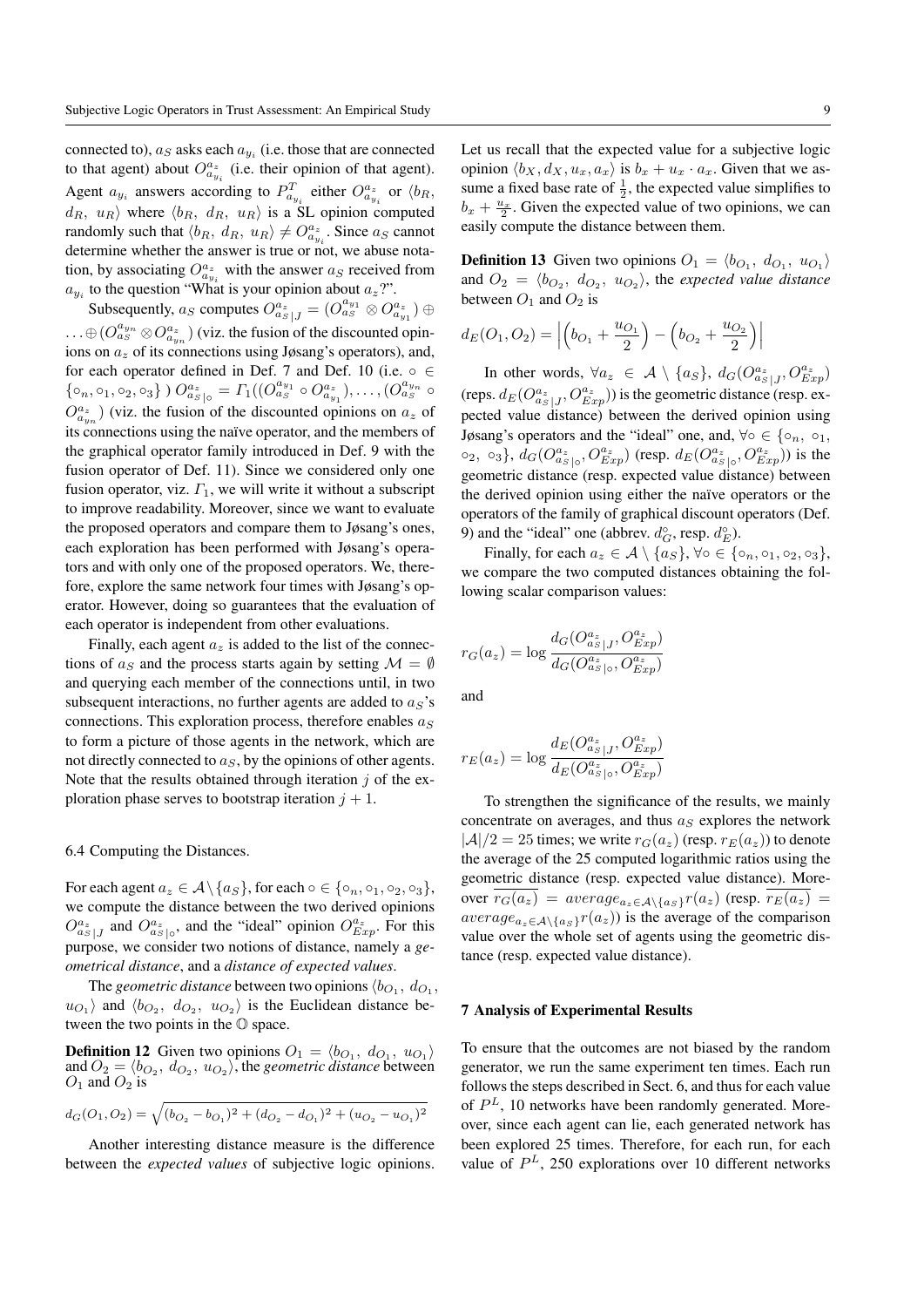connected to),  $a_S$  asks each  $a_{y_i}$  (i.e. those that are connected to that agent) about  $O_{a_{y_i}}^{a_z}$  (i.e. their opinion of that agent). Agent  $a_{y_i}$  answers according to  $P_{a_{y_i}}^T$  either  $O_{a_{y_i}}^{a_z}$  or  $\langle b_R, \rangle$  $d_R$ ,  $u_R$  where  $\langle b_R, d_R, u_R \rangle$  is a SL opinion computed randomly such that  $\langle b_R, d_R, u_R \rangle \neq O_{a_{y_i}}^{a_z}$ . Since  $a_S$  cannot determine whether the answer is true or not, we abuse notation, by associating  $O_{a_{y_i}}^{a_z}$  with the answer  $a_S$  received from  $a_{y_i}$  to the question "What is your opinion about  $a_z$ ?".

Subsequently,  $a_S$  computes  $O_{a_S|J}^{a_Z} = (O_{a_S}^{a_{y_1}} \otimes O_{a_{y_1}}^{a_z}) \oplus$  $\ldots \oplus (O_{a_S}^{a_{y_n}} \otimes O_{a_{y_n}}^{a_z})$  (viz. the fusion of the discounted opinions on  $a<sub>z</sub>$  of its connections using Jøsang's operators), and, for each operator defined in Def. [7](#page-5-3) and Def. [10](#page-7-1) (i.e.  $\circ \in$  $\{o_n, o_1, o_2, o_3\}$ )  $O_{as}^{az}|_o = \Gamma_1((O_{as}^{a_{y_1}} \circ O_{a_{y_1}}^{a_{z_1}}), \ldots, (O_{as}^{a_{y_n}} \circ O_{as}^{a_{y_n}})$  $O_{a_{y_n}}^{a_z}$ ) (viz. the fusion of the discounted opinions on  $a_z$  of its connections using the naïve operator, and the members of the graphical operator family introduced in Def. [9](#page-6-3) with the fusion operator of Def. [11\)](#page-7-2). Since we considered only one fusion operator, viz.  $\Gamma_1$ , we will write it without a subscript to improve readability. Moreover, since we want to evaluate the proposed operators and compare them to Jøsang's ones, each exploration has been performed with Jøsang's operators and with only one of the proposed operators. We, therefore, explore the same network four times with Jøsang's operator. However, doing so guarantees that the evaluation of each operator is independent from other evaluations.

Finally, each agent  $a_z$  is added to the list of the connections of  $a_S$  and the process starts again by setting  $\mathcal{M} = \emptyset$ and querying each member of the connections until, in two subsequent interactions, no further agents are added to  $a<sub>S</sub>$ 's connections. This exploration process, therefore enables  $a<sub>S</sub>$ to form a picture of those agents in the network, which are not directly connected to  $a<sub>S</sub>$ , by the opinions of other agents. Note that the results obtained through iteration  $j$  of the exploration phase serves to bootstrap iteration  $j + 1$ .

#### 6.4 Computing the Distances.

For each agent  $a_z \in \mathcal{A} \setminus \{a_S\}$ , for each  $\circ \in \{\circ_n, \circ_1, \circ_2, \circ_3\},$ we compute the distance between the two derived opinions  $O_{a_S|J}^{a_Z}$  and  $O_{a_S|S}^{a_Z}$ , and the "ideal" opinion  $O_{Exp}^{a_Z}$ . For this purpose, we consider two notions of distance, namely a *geometrical distance*, and a *distance of expected values*.

The *geometric distance* between two opinions  $\langle b_{O_1}, d_{O_1},$  $|u_{O_1}\rangle$  and  $\langle b_{O_2}, d_{O_2}, u_{O_2}\rangle$  is the Euclidean distance between the two points in the O space.

<span id="page-9-1"></span>**Definition 12** Given two opinions  $O_1 = \langle b_{O_1}, d_{O_1}, u_{O_1} \rangle$ and  $O_2 = \langle b_{O_2}, d_{O_2}, u_{O_2} \rangle$ , the *geometric distance* between  $O_1$  and  $O_2$  is

$$
d_G(O_1, O_2) = \sqrt{(b_{O_2} - b_{O_1})^2 + (d_{O_2} - d_{O_1})^2 + (u_{O_2} - u_{O_1})^2}
$$

Another interesting distance measure is the difference between the *expected values* of subjective logic opinions. Let us recall that the expected value for a subjective logic opinion  $\langle b_X, d_X, u_x, a_x \rangle$  is  $b_x + u_x \cdot a_x$ . Given that we assume a fixed base rate of  $\frac{1}{2}$ , the expected value simplifies to  $b_x + \frac{u_x}{2}$ . Given the expected value of two opinions, we can easily compute the distance between them.

<span id="page-9-2"></span>**Definition 13** Given two opinions  $O_1 = \langle b_{O_1}, d_{O_1}, u_{O_1} \rangle$ and  $O_2 = \langle b_{O_2}, d_{O_2}, u_{O_2} \rangle$ , the *expected value distance* between  $O_1$  and  $O_2$  is

$$
d_E(O_1, O_2) = \left| \left( b_{O_1} + \frac{u_{O_1}}{2} \right) - \left( b_{O_2} + \frac{u_{O_2}}{2} \right) \right|
$$

In other words,  $\forall a_z \in \mathcal{A} \setminus \{a_S\}$ ,  $d_G(O_{a_S|J}^{a_z}, O_{Exp}^{a_z})$ (reps.  $d_E(O^{a_z}_{as}|_J, O^{a_z}_{Exp}))$  is the geometric distance (resp. expected value distance) between the derived opinion using Jøsang's operators and the "ideal" one, and,  $\forall \circ \in \{\circ_n, \circ_1, \circ_2\}$  $\circ_2, \circ_3\}, d_G(O^{a_z}_{a_{S}|o}, O^{a_z}_{Exp})$  (resp.  $d_E(O^{a_z}_{a_{S}|o}, O^{a_z}_{Exp}))$  is the geometric distance (resp. expected value distance) between the derived opinion using either the naïve operators or the operators of the family of graphical discount operators (Def. [9\)](#page-6-3) and the "ideal" one (abbrev.  $d_G^{\circ}$ , resp.  $d_E^{\circ}$ ).

Finally, for each  $a_z \in \mathcal{A} \setminus \{a_S\}$ ,  $\forall \circ \in \{\circ_n, \circ_1, \circ_2, \circ_3\}$ , we compare the two computed distances obtaining the following scalar comparison values:

$$
r_G(a_z) = \log \frac{d_G(O_{a_S|J}^{a_z}, O_{Exp}^{a_z})}{d_G(O_{a_S|o}^{a_z}, O_{Exp}^{a_z})}
$$

and

$$
r_E(a_z) = \log \frac{d_E(O^{a_z}_{a_S|J}, O^{a_z}_{Exp})}{d_E(O^{a_z}_{a_S|o}, O^{a_z}_{Exp})}
$$

To strengthen the significance of the results, we mainly concentrate on averages, and thus  $a<sub>S</sub>$  explores the network  $|A|/2 = 25$  times; we write  $r_G(a_z)$  (resp.  $r_E(a_z)$ ) to denote the average of the 25 computed logarithmic ratios using the geometric distance (resp. expected value distance). Moreover  $r_G(a_z) = average_{a_z \in A \setminus \{a_S\}} r(a_z)$  (resp.  $r_E(a_z)$ )  $average_{a_z \in A \setminus \{a_S\}}r(a_z)$  is the average of the comparison value over the whole set of agents using the geometric distance (resp. expected value distance).

#### <span id="page-9-0"></span>7 Analysis of Experimental Results

To ensure that the outcomes are not biased by the random generator, we run the same experiment ten times. Each run follows the steps described in Sect. [6,](#page-7-0) and thus for each value of  $P<sup>L</sup>$ , 10 networks have been randomly generated. Moreover, since each agent can lie, each generated network has been explored 25 times. Therefore, for each run, for each value of  $P<sup>L</sup>$ , 250 explorations over 10 different networks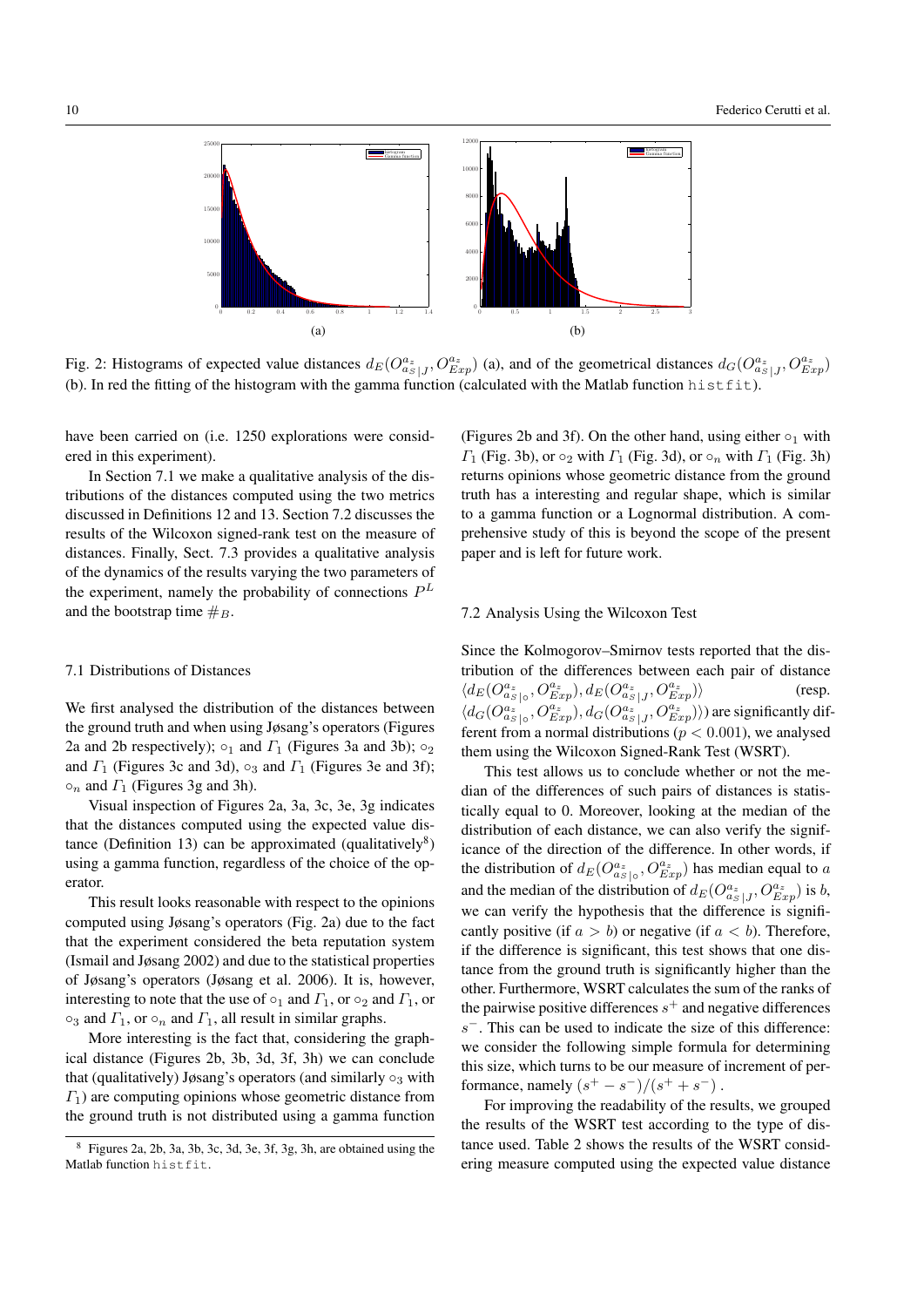<span id="page-10-0"></span>

Fig. 2: Histograms of expected value distances  $d_E(O_{a_S|J}^{a_z}, O_{Exp}^{a_z})$  [\(a\)](#page-10-0), and of the geometrical distances  $d_G(O_{a_S|J}^{a_z}, O_{Exp}^{a_z})$ [\(b\)](#page-10-0). In red the fitting of the histogram with the gamma function (calculated with the Matlab function histfit).

have been carried on (i.e. 1250 explorations were considered in this experiment).

In Section [7.1](#page-10-1) we make a qualitative analysis of the distributions of the distances computed using the two metrics discussed in Definitions [12](#page-9-1) and [13.](#page-9-2) Section [7.2](#page-10-2) discusses the results of the Wilcoxon signed-rank test on the measure of distances. Finally, Sect. [7.3](#page-12-0) provides a qualitative analysis of the dynamics of the results varying the two parameters of the experiment, namely the probability of connections  $P<sup>L</sup>$ and the bootstrap time  $\#_B$ .

#### <span id="page-10-1"></span>7.1 Distributions of Distances

We first analysed the distribution of the distances between the ground truth and when using Jøsang's operators (Figures [2a](#page-10-0) and [2b](#page-10-0) respectively);  $\circ_1$  and  $\Gamma_1$  (Figures [3a](#page-11-0) and [3b\)](#page-11-0);  $\circ_2$ and  $\Gamma_1$  (Figures [3c](#page-11-0) and [3d\)](#page-11-0),  $\circ_3$  and  $\Gamma_1$  (Figures [3e](#page-11-0) and [3f\)](#page-11-0);  $\circ_n$  and  $\Gamma_1$  (Figures [3g](#page-11-0) and [3h\)](#page-11-0).

Visual inspection of Figures [2a,](#page-10-0) [3a, 3c, 3e, 3g](#page-11-0) indicates that the distances computed using the expected value dis-tance (Definition [13\)](#page-9-2) can be approximated (qualitatively $8$ ) using a gamma function, regardless of the choice of the operator.

This result looks reasonable with respect to the opinions computed using Jøsang's operators (Fig. [2a\)](#page-10-0) due to the fact that the experiment considered the beta reputation system [\(Ismail and Jøsang 2002\)](#page-14-14) and due to the statistical properties of Jøsang's operators [\(Jøsang et al. 2006\)](#page-14-11). It is, however, interesting to note that the use of  $\circ_1$  and  $\Gamma_1$ , or  $\circ_2$  and  $\Gamma_1$ , or  $\circ_3$  and  $\Gamma_1$ , or  $\circ_n$  and  $\Gamma_1$ , all result in similar graphs.

More interesting is the fact that, considering the graphical distance (Figures [2b,](#page-10-0) [3b, 3d, 3f, 3h\)](#page-11-0) we can conclude that (qualitatively) Jøsang's operators (and similarly  $\circ_3$  with  $\Gamma_1$ ) are computing opinions whose geometric distance from the ground truth is not distributed using a gamma function

(Figures [2b](#page-10-0) and [3f\)](#page-11-0). On the other hand, using either  $\circ_1$  with  $\Gamma_1$  (Fig. [3b\)](#page-11-0), or  $\circ_2$  with  $\Gamma_1$  (Fig. [3d\)](#page-11-0), or  $\circ_n$  with  $\Gamma_1$  (Fig. [3h\)](#page-11-0) returns opinions whose geometric distance from the ground truth has a interesting and regular shape, which is similar to a gamma function or a Lognormal distribution. A comprehensive study of this is beyond the scope of the present paper and is left for future work.

#### <span id="page-10-2"></span>7.2 Analysis Using the Wilcoxon Test

Since the Kolmogorov–Smirnov tests reported that the distribution of the differences between each pair of distance  $\langle d_E(O^{a_z}_{a_S}|_o, O^{a_z}_{Exp}), d_E(O^{a_z}_{a_S}|_J, O^{a_z}_{Exp}) \rangle$  (resp.  $\langle d_G(O^{a_{z}}_{a_{S}}|_{o},O^{a_{z}}_{Exp}), d_G(O^{a_{z}}_{a_{S}}|_{J},O^{a_{z}}_{Exp})\rangle$  are significantly different from a normal distributions ( $p < 0.001$ ), we analysed them using the Wilcoxon Signed-Rank Test (WSRT).

This test allows us to conclude whether or not the median of the differences of such pairs of distances is statistically equal to 0. Moreover, looking at the median of the distribution of each distance, we can also verify the significance of the direction of the difference. In other words, if the distribution of  $d_E(O_{a_S}|_o, O_{Exp}^{a_z})$  has median equal to a and the median of the distribution of  $d_E(O_{a_s|J}^{a_s}, O_{Exp}^{a_s})$  is b, we can verify the hypothesis that the difference is significantly positive (if  $a > b$ ) or negative (if  $a < b$ ). Therefore, if the difference is significant, this test shows that one distance from the ground truth is significantly higher than the other. Furthermore, WSRT calculates the sum of the ranks of the pairwise positive differences  $s^+$  and negative differences s <sup>−</sup>. This can be used to indicate the size of this difference: we consider the following simple formula for determining this size, which turns to be our measure of increment of performance, namely  $(s^+ - s^-)/(s^+ + s^-)$ .

For improving the readability of the results, we grouped the results of the WSRT test according to the type of distance used. Table [2](#page-12-1) shows the results of the WSRT considering measure computed using the expected value distance

<span id="page-10-3"></span><sup>8</sup> Figures [2a, 2b,](#page-10-0) [3a, 3b, 3c, 3d, 3e, 3f, 3g, 3h,](#page-11-0) are obtained using the Matlab function histfit.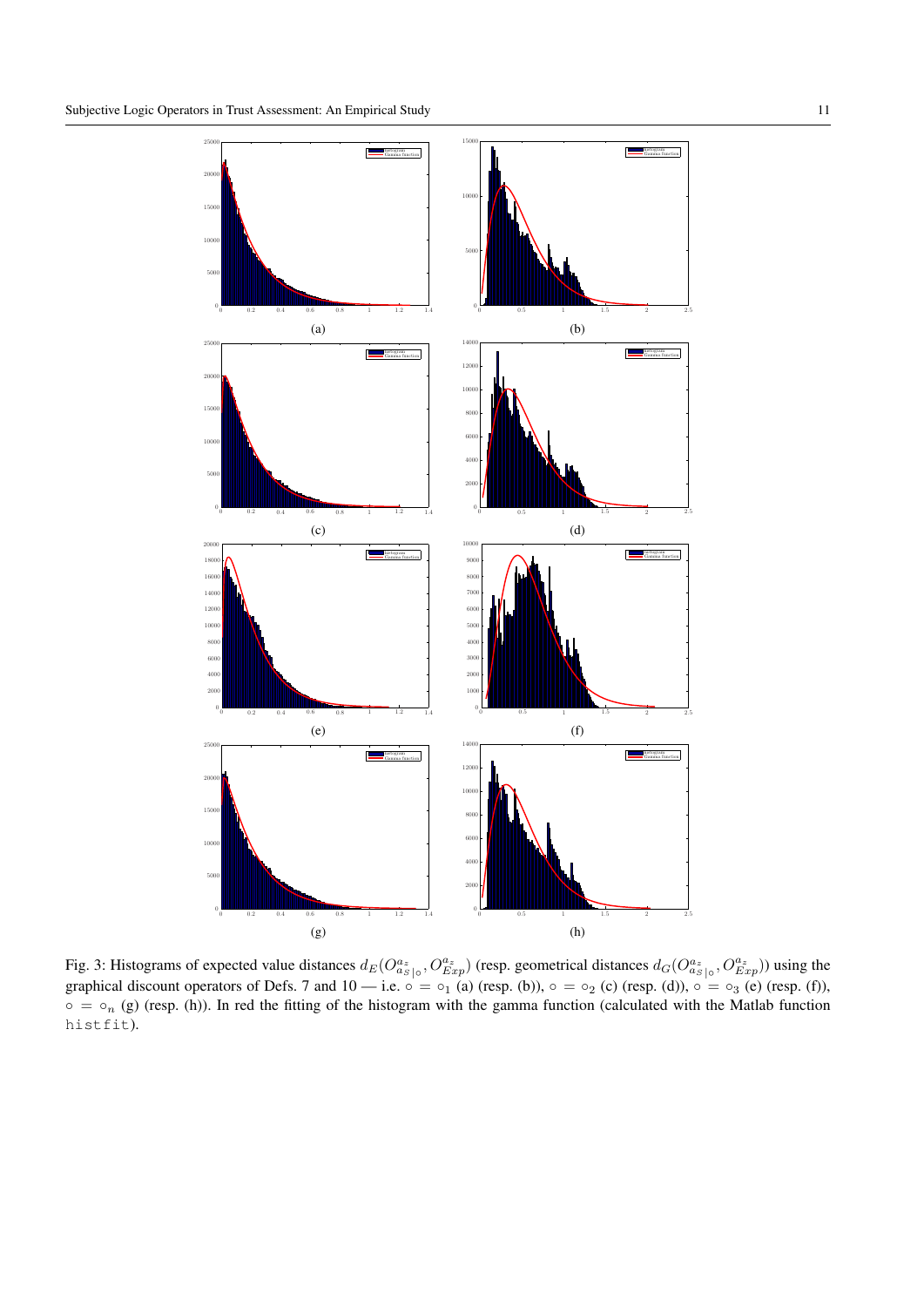<span id="page-11-0"></span>

Fig. 3: Histograms of expected value distances  $d_E(O_{a_S|_0}^{a_z}, O_{Exp}^{a_z})$  (resp. geometrical distances  $d_G(O_{a_S|_0}^{a_z}, O_{Exp}^{a_z})$ ) using the graphical discount operators of Defs. [7](#page-5-3) and  $10 - i.e. \circ = \circ_1$  [\(a\)](#page-11-0) (resp. [\(b\)](#page-11-0)),  $\circ = \circ_2$  [\(c\)](#page-11-0) (resp. [\(d\)](#page-11-0)),  $\circ = \circ_3$  [\(e\)](#page-11-0) (resp. [\(f\)](#page-11-0)),  $\circ = \circ_n$  [\(g\)](#page-11-0) (resp. [\(h\)](#page-11-0)). In red the fitting of the histogram with the gamma function (calculated with the Matlab function histfit).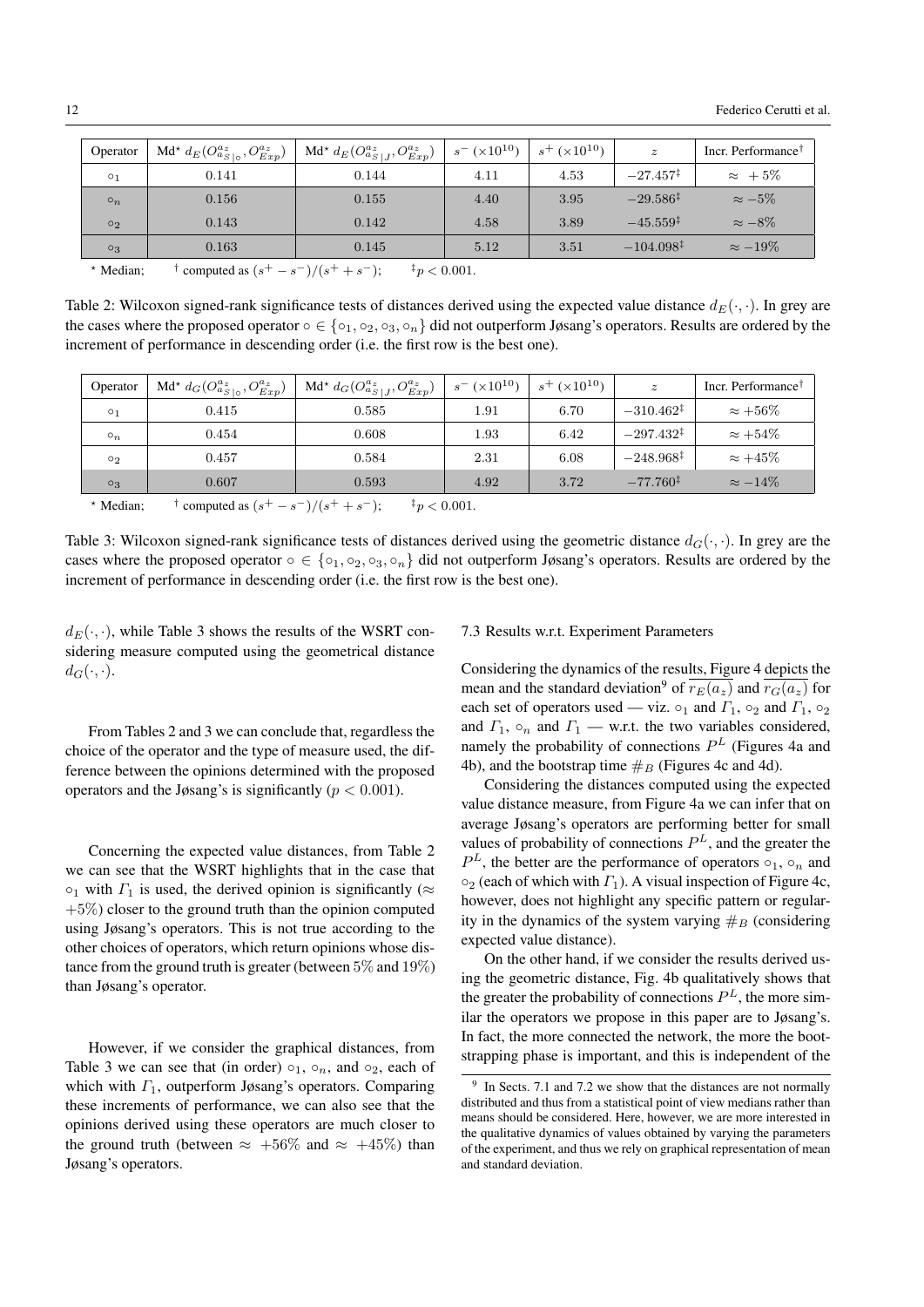<span id="page-12-1"></span>

| Operator       | $\text{Md}^{\star} d_E(O_{a_S _{\mathcal{O}}}^{a_Z}, O_{Exp}^{a_Z})$ | $\mathrm{Md}^{\star} d_E(O^{a_{z}}_{a_{S} J}, O^{a_{z}}_{Exp})$ | $s^{-}$ ( $\times 10^{10}$ ) | $s^{+}$ ( $\times$ 10 <sup>10</sup> ) | $\boldsymbol{z}$      | Incr. Performance <sup>†</sup> |
|----------------|----------------------------------------------------------------------|-----------------------------------------------------------------|------------------------------|---------------------------------------|-----------------------|--------------------------------|
| $\circ_1$      | 0.141                                                                | 0.144                                                           | 4.11                         | 4.53                                  | $-27.457^{\ddagger}$  | $\approx$ +5%                  |
| $\circ_n$      | 0.156                                                                | 0.155                                                           | 4.40                         | 3.95                                  | $-29.586^{\ddagger}$  | $\approx -5\%$                 |
| $\circ_2$      | 0.143                                                                | 0.142                                                           | 4.58                         | 3.89                                  | $-45.559^{\ddagger}$  | $\approx -8\%$                 |
| O <sub>3</sub> | 0.163                                                                | 0.145                                                           | 5.12                         | 3.51                                  | $-104.098^{\ddagger}$ | $\approx -19\%$                |

\* Median; † computed as  $(s^+ - s^-)/(s^+ + s^-);$  $\frac{1}{2}p < 0.001$ .

Table 2: Wilcoxon signed-rank significance tests of distances derived using the expected value distance  $d_E(\cdot, \cdot)$ . In grey are the cases where the proposed operator  $\circ \in \{\circ_1, \circ_2, \circ_3, \circ_n\}$  did not outperform Jøsang's operators. Results are ordered by the increment of performance in descending order (i.e. the first row is the best one).

<span id="page-12-2"></span>

| Operator                                                                        | $\text{Md}^{\star} d_G(O_{a_{S} \circ}^{a_{Z}}, O_{Exp}^{a_{Z}})$ | $\text{Md}^{\star} d_G(O_{a_S J}^{a_Z}, O_{Exp}^{a_Z})$ | $s^{-}$ ( $\times 10^{10}$ ). | $s^{+}$ ( $\times$ 10 <sup>10</sup> ) | $\boldsymbol{z}$      | Incr. Performance <sup><math>\uparrow</math></sup> |
|---------------------------------------------------------------------------------|-------------------------------------------------------------------|---------------------------------------------------------|-------------------------------|---------------------------------------|-----------------------|----------------------------------------------------|
| $\circ$ <sub>1</sub>                                                            | 0.415                                                             | 0.585                                                   | 1.91                          | 6.70                                  | $-310.462^{\ddagger}$ | $\approx +56\%$                                    |
| $\circ_n$                                                                       | 0.454                                                             | 0.608                                                   | 1.93                          | 6.42                                  | $-297.432^{\ddagger}$ | $\approx +54\%$                                    |
| $\circ_2$                                                                       | 0.457                                                             | 0.584                                                   | 2.31                          | 6.08                                  | $-248.968^{\ddagger}$ | $\approx +45\%$                                    |
| $\circ_3$                                                                       | 0.607                                                             | 0.593                                                   | 4.92                          | 3.72                                  | $-77.760^{\ddagger}$  | $\approx -14\%$                                    |
| computed as $(s^+ - s^-)/(s^+ + s^-);$<br>$\frac{1}{2}p < 0.001$ .<br>* Median: |                                                                   |                                                         |                               |                                       |                       |                                                    |

Table 3: Wilcoxon signed-rank significance tests of distances derived using the geometric distance  $d_G(\cdot, \cdot)$ . In grey are the cases where the proposed operator  $\circ \in \{\circ_1, \circ_2, \circ_3, \circ_n\}$  did not outperform Jøsang's operators. Results are ordered by the increment of performance in descending order (i.e. the first row is the best one).

 $d_E(\cdot, \cdot)$ , while Table [3](#page-12-2) shows the results of the WSRT considering measure computed using the geometrical distance  $d_G(\cdot, \cdot).$ 

From Tables [2](#page-12-1) and [3](#page-12-2) we can conclude that, regardless the choice of the operator and the type of measure used, the difference between the opinions determined with the proposed operators and the Jøsang's is significantly ( $p < 0.001$ ).

Concerning the expected value distances, from Table [2](#page-12-1) we can see that the WSRT highlights that in the case that  $\circ_1$  with  $\Gamma_1$  is used, the derived opinion is significantly ( $\approx$  $+5\%$ ) closer to the ground truth than the opinion computed using Jøsang's operators. This is not true according to the other choices of operators, which return opinions whose distance from the ground truth is greater (between 5% and 19%) than Jøsang's operator.

However, if we consider the graphical distances, from Table [3](#page-12-2) we can see that (in order)  $\circ_1$ ,  $\circ_n$ , and  $\circ_2$ , each of which with  $\Gamma_1$ , outperform Jøsang's operators. Comparing these increments of performance, we can also see that the opinions derived using these operators are much closer to the ground truth (between  $\approx +56\%$  and  $\approx +45\%$ ) than Jøsang's operators.

#### <span id="page-12-0"></span>7.3 Results w.r.t. Experiment Parameters

Considering the dynamics of the results, Figure [4](#page-13-0) depicts the mean and the standard deviation<sup>[9](#page-12-3)</sup> of  $\overline{r_E(a_z)}$  and  $\overline{r_G(a_z)}$  for each set of operators used — viz.  $\circ_1$  and  $\Gamma_1$ ,  $\circ_2$  and  $\Gamma_1$ ,  $\circ_2$ and  $\Gamma_1$ ,  $\circ_n$  and  $\Gamma_1$  — w.r.t. the two variables considered, namely the probability of connections  $P<sup>L</sup>$  (Figures [4a](#page-13-0) and [4b\)](#page-13-0), and the bootstrap time  $\#_B$  (Figures [4c](#page-13-0) and [4d\)](#page-13-0).

Considering the distances computed using the expected value distance measure, from Figure [4a](#page-13-0) we can infer that on average Jøsang's operators are performing better for small values of probability of connections  $P<sup>L</sup>$ , and the greater the  $P^L$ , the better are the performance of operators  $\circ_1$ ,  $\circ_n$  and  $\circ_2$  (each of which with  $\Gamma_1$ ). A visual inspection of Figure [4c,](#page-13-0) however, does not highlight any specific pattern or regularity in the dynamics of the system varying  $#_B$  (considering expected value distance).

On the other hand, if we consider the results derived using the geometric distance, Fig. [4b](#page-13-0) qualitatively shows that the greater the probability of connections  $P<sup>L</sup>$ , the more similar the operators we propose in this paper are to Jøsang's. In fact, the more connected the network, the more the bootstrapping phase is important, and this is independent of the

<span id="page-12-3"></span><sup>&</sup>lt;sup>9</sup> In Sects. [7.1](#page-10-1) and [7.2](#page-10-2) we show that the distances are not normally distributed and thus from a statistical point of view medians rather than means should be considered. Here, however, we are more interested in the qualitative dynamics of values obtained by varying the parameters of the experiment, and thus we rely on graphical representation of mean and standard deviation.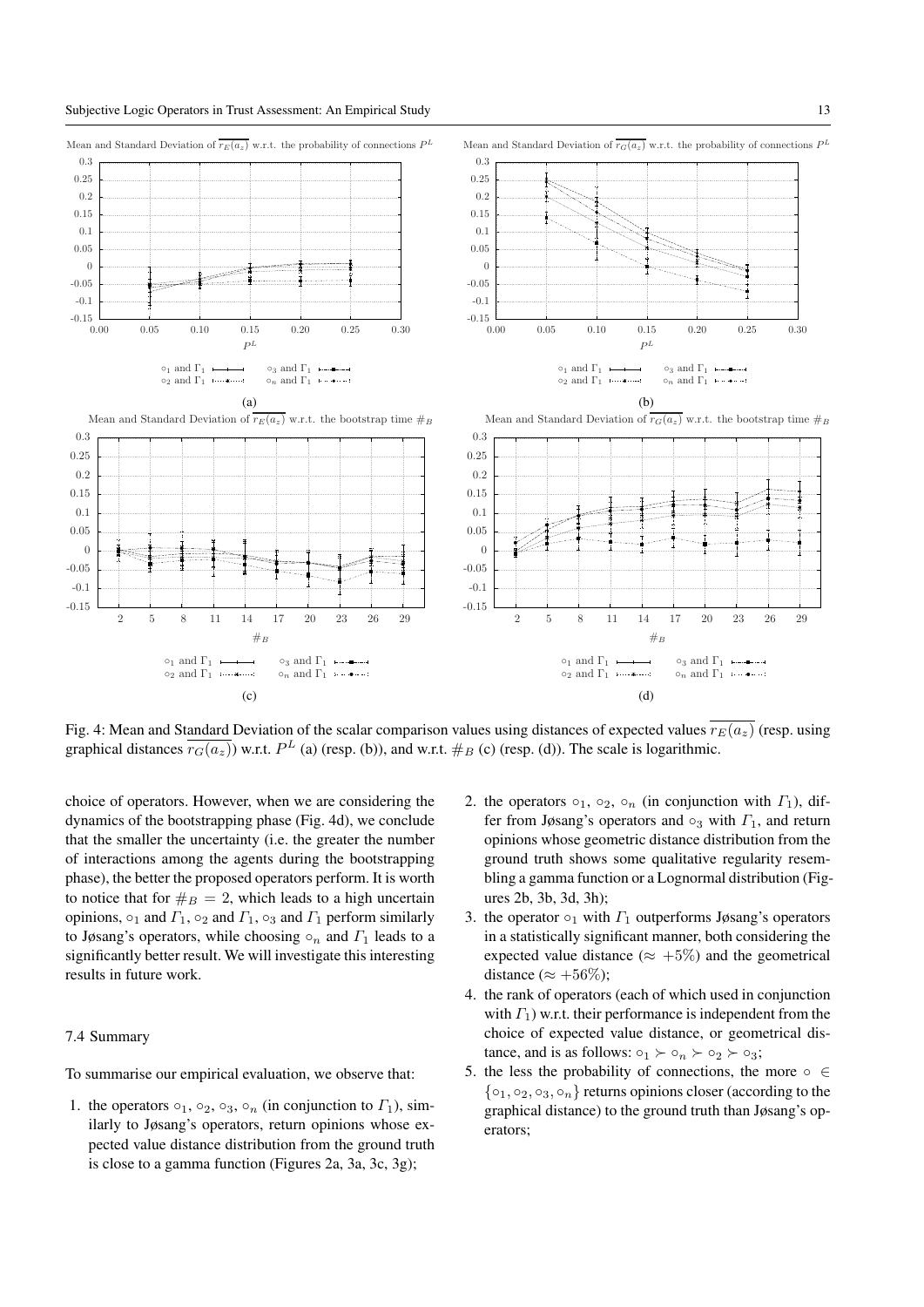<span id="page-13-0"></span>

Fig. 4: Mean and Standard Deviation of the scalar comparison values using distances of expected values  $\overline{r_E(a_z)}$  (resp. using graphical distances  $\overline{r_G(a_z)}$ ) w.r.t.  $P^L$  [\(a\)](#page-13-0) (resp. [\(b\)](#page-13-0)), and w.r.t.  $\#_B$  [\(c\)](#page-13-0) (resp. [\(d\)](#page-13-0)). The scale is logarithmic.

choice of operators. However, when we are considering the dynamics of the bootstrapping phase (Fig. [4d\)](#page-13-0), we conclude that the smaller the uncertainty (i.e. the greater the number of interactions among the agents during the bootstrapping phase), the better the proposed operators perform. It is worth to notice that for  $\#_B = 2$ , which leads to a high uncertain opinions,  $\circ_1$  and  $\Gamma_1$ ,  $\circ_2$  and  $\Gamma_1$ ,  $\circ_3$  and  $\Gamma_1$  perform similarly to Jøsang's operators, while choosing  $\circ_n$  and  $\Gamma_1$  leads to a significantly better result. We will investigate this interesting results in future work.

#### 7.4 Summary

To summarise our empirical evaluation, we observe that:

1. the operators  $\circ_1$ ,  $\circ_2$ ,  $\circ_3$ ,  $\circ_n$  (in conjunction to  $\Gamma_1$ ), similarly to Jøsang's operators, return opinions whose expected value distance distribution from the ground truth is close to a gamma function (Figures [2a,](#page-10-0) [3a, 3c, 3g\)](#page-11-0);

- 2. the operators  $\circ_1$ ,  $\circ_2$ ,  $\circ_n$  (in conjunction with  $\Gamma_1$ ), differ from Jøsang's operators and  $\circ_3$  with  $\Gamma_1$ , and return opinions whose geometric distance distribution from the ground truth shows some qualitative regularity resembling a gamma function or a Lognormal distribution (Figures [2b,](#page-10-0) [3b, 3d, 3h\)](#page-11-0);
- 3. the operator  $\circ_1$  with  $\Gamma_1$  outperforms Jøsang's operators in a statistically significant manner, both considering the expected value distance ( $\approx +5\%$ ) and the geometrical distance ( $\approx +56\%$ );
- 4. the rank of operators (each of which used in conjunction with  $\Gamma_1$ ) w.r.t. their performance is independent from the choice of expected value distance, or geometrical distance, and is as follows:  $\circ_1 \succ \circ_n \succ \circ_2 \succ \circ_3$ ;
- 5. the less the probability of connections, the more  $\circ \in$  $\{\circ_1, \circ_2, \circ_3, \circ_n\}$  returns opinions closer (according to the graphical distance) to the ground truth than Jøsang's operators;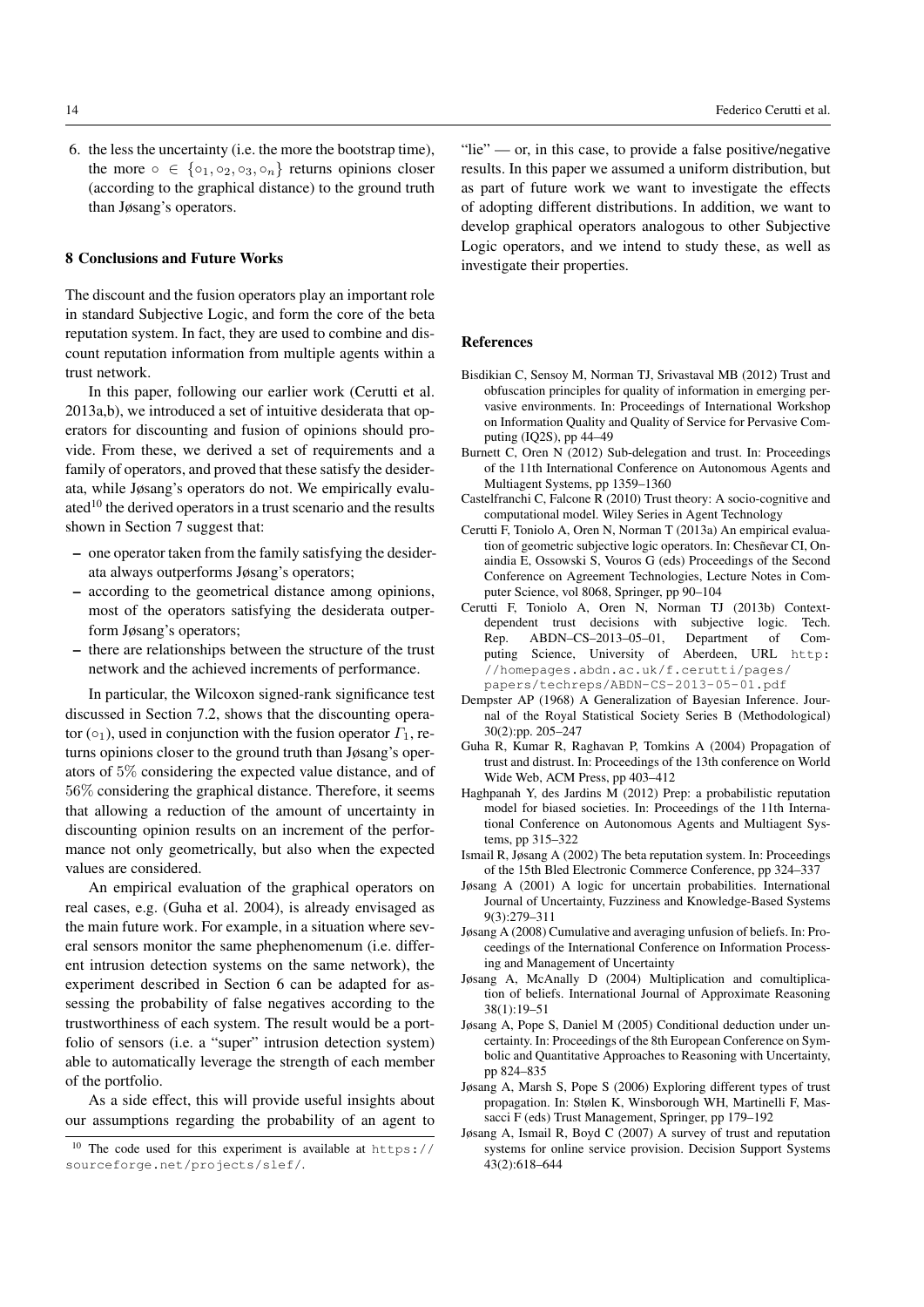6. the less the uncertainty (i.e. the more the bootstrap time), the more  $\circ \in \{\circ_1, \circ_2, \circ_3, \circ_n\}$  returns opinions closer (according to the graphical distance) to the ground truth than Jøsang's operators.

#### <span id="page-14-4"></span>8 Conclusions and Future Works

The discount and the fusion operators play an important role in standard Subjective Logic, and form the core of the beta reputation system. In fact, they are used to combine and discount reputation information from multiple agents within a trust network.

In this paper, following our earlier work [\(Cerutti et al.](#page-14-3) [2013a](#page-14-3)[,b\)](#page-14-13), we introduced a set of intuitive desiderata that operators for discounting and fusion of opinions should provide. From these, we derived a set of requirements and a family of operators, and proved that these satisfy the desiderata, while Jøsang's operators do not. We empirically evaluated $10$  the derived operators in a trust scenario and the results shown in Section [7](#page-9-0) suggest that:

- one operator taken from the family satisfying the desiderata always outperforms Jøsang's operators;
- according to the geometrical distance among opinions, most of the operators satisfying the desiderata outperform Jøsang's operators;
- there are relationships between the structure of the trust network and the achieved increments of performance.

In particular, the Wilcoxon signed-rank significance test discussed in Section [7.2,](#page-10-2) shows that the discounting operator ( $\circ_1$ ), used in conjunction with the fusion operator  $\Gamma_1$ , returns opinions closer to the ground truth than Jøsang's operators of 5% considering the expected value distance, and of 56% considering the graphical distance. Therefore, it seems that allowing a reduction of the amount of uncertainty in discounting opinion results on an increment of the performance not only geometrically, but also when the expected values are considered.

An empirical evaluation of the graphical operators on real cases, e.g. [\(Guha et al. 2004\)](#page-14-16), is already envisaged as the main future work. For example, in a situation where several sensors monitor the same phephenomenum (i.e. different intrusion detection systems on the same network), the experiment described in Section [6](#page-7-0) can be adapted for assessing the probability of false negatives according to the trustworthiness of each system. The result would be a portfolio of sensors (i.e. a "super" intrusion detection system) able to automatically leverage the strength of each member of the portfolio.

As a side effect, this will provide useful insights about our assumptions regarding the probability of an agent to "lie" — or, in this case, to provide a false positive/negative results. In this paper we assumed a uniform distribution, but as part of future work we want to investigate the effects of adopting different distributions. In addition, we want to develop graphical operators analogous to other Subjective Logic operators, and we intend to study these, as well as investigate their properties.

#### **References**

- <span id="page-14-7"></span>Bisdikian C, Sensoy M, Norman TJ, Srivastaval MB (2012) Trust and obfuscation principles for quality of information in emerging pervasive environments. In: Proceedings of International Workshop on Information Quality and Quality of Service for Pervasive Computing (IQ2S), pp 44–49
- <span id="page-14-1"></span>Burnett C, Oren N (2012) Sub-delegation and trust. In: Proceedings of the 11th International Conference on Autonomous Agents and Multiagent Systems, pp 1359–1360
- <span id="page-14-5"></span>Castelfranchi C, Falcone R (2010) Trust theory: A socio-cognitive and computational model. Wiley Series in Agent Technology
- <span id="page-14-3"></span>Cerutti F, Toniolo A, Oren N, Norman T (2013a) An empirical evaluation of geometric subjective logic operators. In: Chesñevar CI, Onaindia E, Ossowski S, Vouros G (eds) Proceedings of the Second Conference on Agreement Technologies, Lecture Notes in Computer Science, vol 8068, Springer, pp 90–104
- <span id="page-14-13"></span>Cerutti F, Toniolo A, Oren N, Norman TJ (2013b) Contextdependent trust decisions with subjective logic. Tech. Rep. ABDN–CS–2013–05–01, Department of Computing Science, University of Aberdeen, URL [http:](http://homepages.abdn.ac.uk/f.cerutti/pages/papers/techreps/ABDN-CS-2013-05-01.pdf) [//homepages.abdn.ac.uk/f.cerutti/pages/](http://homepages.abdn.ac.uk/f.cerutti/pages/papers/techreps/ABDN-CS-2013-05-01.pdf) [papers/techreps/ABDN-CS-2013-05-01.pdf](http://homepages.abdn.ac.uk/f.cerutti/pages/papers/techreps/ABDN-CS-2013-05-01.pdf)
- <span id="page-14-9"></span>Dempster AP (1968) A Generalization of Bayesian Inference. Journal of the Royal Statistical Society Series B (Methodological) 30(2):pp. 205–247
- <span id="page-14-16"></span>Guha R, Kumar R, Raghavan P, Tomkins A (2004) Propagation of trust and distrust. In: Proceedings of the 13th conference on World Wide Web, ACM Press, pp 403–412
- <span id="page-14-0"></span>Haghpanah Y, des Jardins M (2012) Prep: a probabilistic reputation model for biased societies. In: Proceedings of the 11th International Conference on Autonomous Agents and Multiagent Systems, pp 315–322
- <span id="page-14-14"></span>Ismail R, Jøsang A (2002) The beta reputation system. In: Proceedings of the 15th Bled Electronic Commerce Conference, pp 324–337
- <span id="page-14-2"></span>Jøsang A (2001) A logic for uncertain probabilities. International Journal of Uncertainty, Fuzziness and Knowledge-Based Systems 9(3):279–311
- <span id="page-14-12"></span>Jøsang A (2008) Cumulative and averaging unfusion of beliefs. In: Proceedings of the International Conference on Information Processing and Management of Uncertainty
- <span id="page-14-6"></span>Jøsang A, McAnally D (2004) Multiplication and comultiplication of beliefs. International Journal of Approximate Reasoning 38(1):19–51
- <span id="page-14-10"></span>Jøsang A, Pope S, Daniel M (2005) Conditional deduction under uncertainty. In: Proceedings of the 8th European Conference on Symbolic and Quantitative Approaches to Reasoning with Uncertainty, pp 824–835
- <span id="page-14-11"></span>Jøsang A, Marsh S, Pope S (2006) Exploring different types of trust propagation. In: Stølen K, Winsborough WH, Martinelli F, Massacci F (eds) Trust Management, Springer, pp 179–192
- <span id="page-14-8"></span>Jøsang A, Ismail R, Boyd C (2007) A survey of trust and reputation systems for online service provision. Decision Support Systems 43(2):618–644

<span id="page-14-15"></span><sup>&</sup>lt;sup>10</sup> The code used for this experiment is available at [https://](https://sourceforge.net/projects/slef/) [sourceforge.net/projects/slef/](https://sourceforge.net/projects/slef/).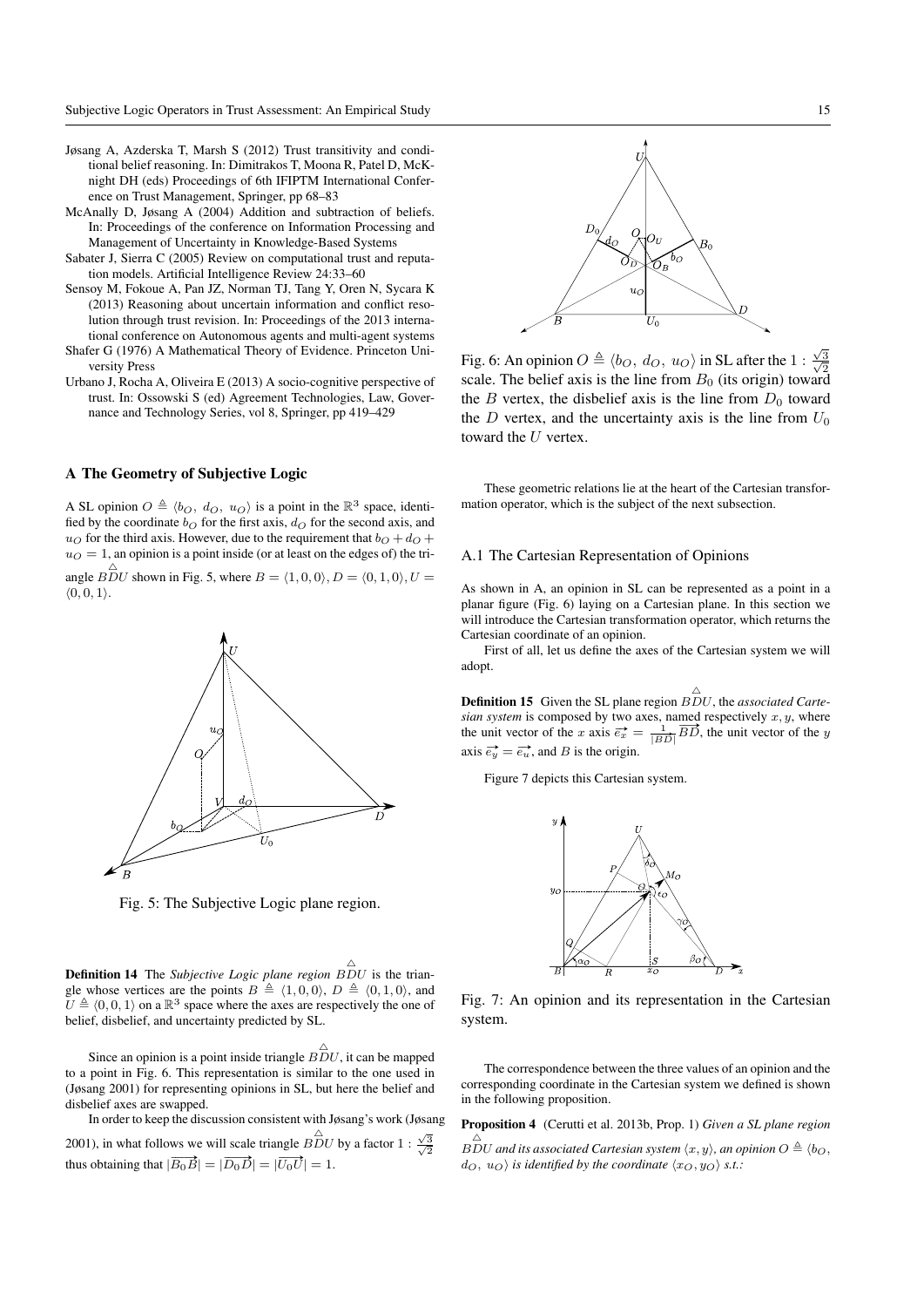- <span id="page-15-2"></span>Jøsang A, Azderska T, Marsh S (2012) Trust transitivity and conditional belief reasoning. In: Dimitrakos T, Moona R, Patel D, McKnight DH (eds) Proceedings of 6th IFIPTM International Conference on Trust Management, Springer, pp 68–83
- <span id="page-15-6"></span>McAnally D, Jøsang A (2004) Addition and subtraction of beliefs. In: Proceedings of the conference on Information Processing and Management of Uncertainty in Knowledge-Based Systems
- <span id="page-15-1"></span>Sabater J, Sierra C (2005) Review on computational trust and reputation models. Artificial Intelligence Review 24:33–60
- <span id="page-15-0"></span>Sensoy M, Fokoue A, Pan JZ, Norman TJ, Tang Y, Oren N, Sycara K (2013) Reasoning about uncertain information and conflict resolution through trust revision. In: Proceedings of the 2013 international conference on Autonomous agents and multi-agent systems
- <span id="page-15-5"></span>Shafer G (1976) A Mathematical Theory of Evidence. Princeton University Press
- <span id="page-15-4"></span>Urbano J, Rocha A, Oliveira E (2013) A socio-cognitive perspective of trust. In: Ossowski S (ed) Agreement Technologies, Law, Governance and Technology Series, vol 8, Springer, pp 419–429

#### <span id="page-15-3"></span>A The Geometry of Subjective Logic

A SL opinion  $O \triangleq \langle b_O, d_O, u_O \rangle$  is a point in the  $\mathbb{R}^3$  space, identified by the coordinate  $b<sub>O</sub>$  for the first axis,  $d<sub>O</sub>$  for the second axis, and  $u<sub>O</sub>$  for the third axis. However, due to the requirement that  $b<sub>O</sub> + d<sub>O</sub> +$  $u<sub>O</sub> = 1$ , an opinion is a point inside (or at least on the edges of) the tri-

<span id="page-15-7"></span>angle  $\overrightarrow{BDU}$  shown in Fig. [5,](#page-15-7) where  $B = \langle 1, 0, 0 \rangle$ ,  $D = \langle 0, 1, 0 \rangle$ ,  $U =$  $(0, 0, 1)$ .

Fig. 5: The Subjective Logic plane region.

 $\widetilde{U}_0$ 

**Definition 14** The *Subjective Logic plane region*  $\overrightarrow{BDU}$  is the triangle whose vertices are the points  $B \triangleq \langle 1, 0, 0 \rangle$ ,  $D \triangleq \langle 0, 1, 0 \rangle$ , and  $U \triangleq \langle 0, 0, 1 \rangle$  on a  $\mathbb{R}^3$  space where the axes are respectively the one of belief, disbelief, and uncertainty predicted by SL.

Since an opinion is a point inside triangle  $\overrightarrow{BDU}$ , it can be mapped to a point in Fig. [6.](#page-15-8) This representation is similar to the one used in [\(Jøsang 2001\)](#page-14-2) for representing opinions in SL, but here the belief and disbelief axes are swapped.

In order to keep the discussion consistent with Jøsang's work [\(Jøsang](#page-14-2)

[2001\)](#page-14-2), in what follows we will scale triangle  $\stackrel{\triangle}{BD}U$  by a factor  $1:\frac{\sqrt{3}}{\sqrt{2}}$ thus obtaining that  $|\overrightarrow{B_0B}| = |\overrightarrow{D_0D}| = |\overrightarrow{U_0U}| = 1$ .

<span id="page-15-8"></span>

Fig. 6: An opinion  $O \triangleq \langle b_O, d_O, u_O \rangle$  in SL after the  $1 : \frac{\sqrt{3}}{\sqrt{3}}$  $\frac{\sqrt{3}}{\sqrt{2}}$ scale. The belief axis is the line from  $B_0$  (its origin) toward the B vertex, the disbelief axis is the line from  $D_0$  toward the  $D$  vertex, and the uncertainty axis is the line from  $U_0$ toward the  $U$  vertex.

These geometric relations lie at the heart of the Cartesian transformation operator, which is the subject of the next subsection.

#### A.1 The Cartesian Representation of Opinions

As shown in [A,](#page-15-3) an opinion in SL can be represented as a point in a planar figure (Fig. [6\)](#page-15-8) laying on a Cartesian plane. In this section we will introduce the Cartesian transformation operator, which returns the Cartesian coordinate of an opinion.

First of all, let us define the axes of the Cartesian system we will adopt.

**Definition 15** Given the SL plane region  $\overrightarrow{BDU}$ , the *associated Cartesian system* is composed by two axes, named respectively  $x, y$ , where stan system is composed by two axes, halong respectively x, y, where<br>the unit vector of the x axis  $\vec{e_x} = \frac{1}{|BD|} \vec{BD}$ , the unit vector of the y axis  $\vec{e_y} = \vec{e_u}$ , and B is the origin.

<span id="page-15-9"></span>Figure [7](#page-15-9) depicts this Cartesian system.



Fig. 7: An opinion and its representation in the Cartesian system.

The correspondence between the three values of an opinion and the corresponding coordinate in the Cartesian system we defined is shown in the following proposition.

<span id="page-15-10"></span>Proposition 4 [\(Cerutti et al. 2013b,](#page-14-13) Prop. 1) *Given a SL plane region*

 $\overrightarrow{BDU}$  and its associated Cartesian system  $\langle x, y \rangle$ , an opinion  $O \triangleq \langle b_O, b_O \rangle$  $d_O, u_O$  *is identified by the coordinate*  $\langle x_O, y_O \rangle$  *s.t.:*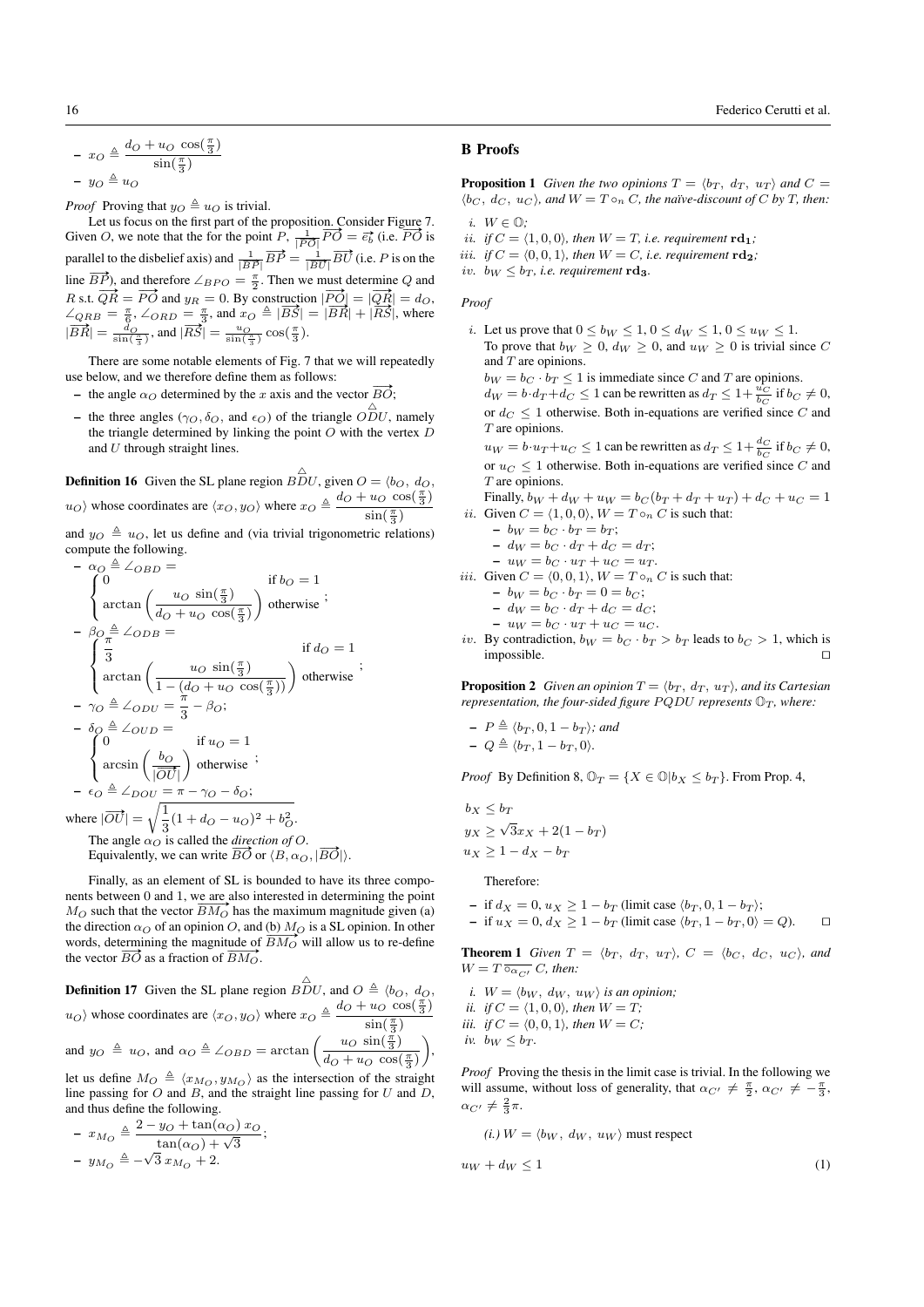$$
- x_O \triangleq \frac{d_O + u_O \cos(\frac{\pi}{3})}{\sin(\frac{\pi}{3})}
$$

$$
- y_O \triangleq u_O
$$

*Proof* Proving that  $y_O \triangleq u_O$  is trivial.

Let us focus on the first part of the proposition. Consider Figure [7.](#page-15-9) Given O, we note that the for the point P,  $\frac{1}{160}$ osition. Consider Figure 7.<br>  $\frac{1}{|PO|} \overrightarrow{PO} = \overrightarrow{e_b}$  (i.e.  $\overrightarrow{PO}$  is parallel to the disbelief axis) and  $\frac{1}{|B\vec{P}|}\overrightarrow{BP} = \frac{1}{|B\vec{U}|}\overrightarrow{BU}$  (i.e. *P* is on the line  $\overrightarrow{BP}$ , and therefore  $\angle_{BPO} = \frac{\pi}{2}$ . Then we must determine Q and R s.t.  $\overrightarrow{QR} = \overrightarrow{PO}$  and  $y_R = 0$ . By construction  $|\overrightarrow{PO}| = |\overrightarrow{QR}| = d_O$ ,  $\angle_{QRB} = \frac{\pi}{6}, \angle_{ORD} = \frac{\pi}{3}, \text{ and } x_Q \triangleq |\overrightarrow{BS}| = |\overrightarrow{BR}| + |\overrightarrow{RS}|, \text{ where}$  $|\overrightarrow{BR}| = \frac{d_O}{\sin(\frac{\pi}{3})}$ , and  $|\overrightarrow{RS}| = \frac{u_O}{\sin(\frac{\pi}{3})} \cos(\frac{\pi}{3})$ .

There are some notable elements of Fig. [7](#page-15-9) that we will repeatedly use below, and we therefore define them as follows:

- the angle  $\alpha_O$  determined by the x axis and the vector  $\overrightarrow{BO}$ ;
- the three angles  $(\gamma_O, \delta_O, \text{ and } \epsilon_O)$  of the triangle  $\overrightarrow{ODU}$ , namely the triangle determined by linking the point  $O$  with the vertex  $D$ and U through straight lines.

<span id="page-16-2"></span>**Definition 16** Given the SL plane region  $B\overset{\triangle}{D}U$ , given  $O = \langle b_O, d_O \rangle$  $u_O$  whose coordinates are  $\langle x_O, y_O \rangle$  where  $x_O \triangleq \frac{d_O + u_O \cos(\frac{\pi}{3})}{\sin(\frac{\pi}{3})}$  $\sin(\frac{\pi}{3})$ 3

and  $y_O \triangleq u_O$ , let us define and (via trivial trigonometric relations) compute the following.

$$
- \alpha_O \triangleq \angle_{OBD} =
$$
\n
$$
\begin{cases}\n0 & \text{if } b_O = 1 \\
\arctan\left(\frac{u_O \sin(\frac{\pi}{3})}{d_O + u_O \cos(\frac{\pi}{3})}\right) \text{ otherwise} \end{cases};
$$
\n
$$
- \beta_O \triangleq \angle_{ODB} =
$$
\n
$$
\begin{cases}\n\frac{\pi}{3} & \text{if } d_O = 1 \\
\arctan\left(\frac{u_O \sin(\frac{\pi}{3})}{1 - (d_O + u_O \cos(\frac{\pi}{3}))}\right) \text{ otherwise} \end{cases};
$$
\n
$$
- \gamma_O \triangleq \angle_{ODU} = \frac{\pi}{3} - \beta_O;
$$
\n
$$
- \delta_O \triangleq \angle_{OUD} =
$$
\n
$$
\begin{cases}\n\frac{b_O}{|\overline{OU}|}\right) \text{ otherwise} \end{cases};
$$
\n
$$
- \epsilon_O \triangleq \angle_{DOU} = \pi - \gamma_O - \delta_O;
$$
\nwhere  $|\overline{OU}| = \sqrt{\frac{1}{3}(1 + d_O - u_O)^2 + b_O^2}.$   
\nThe angle  $\alpha_O$  is called the *direction of O*. Equivalently, we can write  $\overline{BO}$  or  $\langle B, \alpha_O, |\overline{BO}|\rangle$ .

Finally, as an element of SL is bounded to have its three components between 0 and 1, we are also interested in determining the point  $M_O$  such that the vector  $\overrightarrow{BM_O}$  has the maximum magnitude given (a) the direction  $\alpha_O$  of an opinion O, and (b)  $M_O$  is a SL opinion. In other words, determining the magnitude of  $\overrightarrow{BM_O}$  will allow us to re-define the vector  $\overrightarrow{BO}$  as a fraction of  $\overrightarrow{BM_O}$ .

**Definition 17** Given the SL plane region  $B\overrightarrow{DU}$ , and  $O \triangleq \langle b_O, d_O \rangle$  $u_O$ ) whose coordinates are  $\langle x_O, y_O \rangle$  where  $x_O \triangleq \frac{d_O + u_O \cos(\frac{\pi}{3})}{\sin(\frac{\pi}{3})}$  $\sin(\frac{\pi}{3})$ and  $y_O \triangleq u_O$ , and  $\alpha_O \triangleq \angle_{OBD} = \arctan\left(\frac{u_O \sin(\frac{\pi}{3})}{\frac{1}{2} \cdot \frac{1}{2} \cdot \frac{1}{2} \cdot \frac{1}{2} \cdot \frac{1}{2} \cdot \frac{1}{2} \cdot \frac{1}{2} \cdot \frac{1}{2} \cdot \frac{1}{2} \cdot \frac{1}{2} \cdot \frac{1}{2} \cdot \frac{1}{2} \cdot \frac{1}{2} \cdot \frac{1}{2} \cdot \frac{1}{2} \cdot \frac{1}{2} \cdot \frac{1}{2} \cdot \frac{1}{2} \cdot \frac{1}{$  $d_O + u_O \cos(\frac{\pi}{3})$  $\bigg)$ ,

let us define  $M_O \triangleq \langle x_{M_O}, y_{M_O} \rangle$  as the intersection of the straight line passing for  $O$  and  $B$ , and the straight line passing for  $U$  and  $D$ , and thus define the following.

$$
- x_{M_O} \triangleq \frac{2 - y_O + \tan(\alpha_O) x_O}{\tan(\alpha_O) + \sqrt{3}};
$$
  

$$
- y_{M_O} \triangleq -\sqrt{3} x_{M_O} + 2.
$$

#### <span id="page-16-0"></span>B Proofs

**Proposition 1** *Given the two opinions*  $T = \langle b_T, d_T, u_T \rangle$  *and*  $C =$  $\langle b_C, d_C, u_C \rangle$ , and  $W = T \circ_n C$ , the naïve-discount of C by T, then:

<sup>i</sup>*.* <sup>W</sup> <sup>∈</sup> <sup>O</sup>*;*

- ii. if  $C = \langle 1, 0, 0 \rangle$ , then  $W = T$ , i.e. requirement  $\mathbf{rd}_1$ ;
- *iii. if*  $C = \langle 0, 0, 1 \rangle$ *, then*  $W = C$ *, i.e. requirement*  $rd_2$ *;*
- iv.  $b_W \leq b_T$ , *i.e. requirement* **rd<sub>3</sub>**.

#### *Proof*

i. Let us prove that  $0 \le b_W \le 1$ ,  $0 \le d_W \le 1$ ,  $0 \le u_W \le 1$ . To prove that  $b_W \geq 0$ ,  $d_W \geq 0$ , and  $u_W \geq 0$  is trivial since C and T are opinions.

 $b_W = b_C \cdot b_T \leq 1$  is immediate since C and T are opinions.

 $d_W = b \cdot d_T + d_C \leq 1$  can be rewritten as  $d_T \leq 1 + \frac{u_C}{b_C}$  if  $b_C \neq 0$ , or  $d_C \leq 1$  otherwise. Both in-equations are verified since C and T are opinions.

 $u_W = b \cdot u_T + u_C \leq 1$  can be rewritten as  $d_T \leq 1 + \frac{d_C}{b_C}$  if  $b_C \neq 0$ , or  $u_C \leq 1$  otherwise. Both in-equations are verified since C and T are opinions.

Finally,  $b_W + d_W + u_W = b_C (b_T + d_T + u_T) + d_C + u_C = 1$ ii. Given  $C = \langle 1, 0, 0 \rangle$ ,  $W = T \circ_n C$  is such that:

$$
-b_W = b_C \cdot b_T = b_T;
$$

$$
-d_W = b_C \cdot d_T + d_C = d_T;
$$

 $- u_W = b_C \cdot u_T + u_C = u_T.$ 

iii. Given  $C = \langle 0, 0, 1 \rangle$ ,  $W = T \circ_n C$  is such that:

$$
-b_W = b_C \cdot b_T = 0 = b_C;
$$

$$
-d_W = b_C \cdot d_T + d_C = d_C;
$$

$$
-u_W = b_C \cdot u_T + u_C = u_C.
$$

iv. By contradiction,  $b_W = b_C \cdot b_T > b_T$  leads to  $b_C > 1$ , which is impossible.

**Proposition 2** *Given an opinion*  $T = \langle b_T, d_T, u_T \rangle$ *, and its Cartesian representation, the four-sided figure*  $PQDU$  *represents*  $\mathbb{O}_T$ *, where:* 

$$
- P \triangleq \langle b_T, 0, 1 - b_T \rangle; \text{ and}
$$
  

$$
- Q \triangleq \langle b_T, 1 - b_T, 0 \rangle.
$$

*Proof* By Definition [8,](#page-6-5)  $\mathbb{O}_T = \{X \in \mathbb{O} | b_X \leq b_T\}$ . From Prop. [4,](#page-15-10)

$$
b_X \le b_T
$$
  
\n
$$
y_X \ge \sqrt{3}x_X + 2(1 - b_T)
$$
  
\n
$$
u_X \ge 1 - d_X - b_T
$$

Therefore:

– if  $d_X = 0$ ,  $u_X \ge 1 - b_T$  (limit case  $\langle b_T, 0, 1 - b_T \rangle$ ; – if  $u_X = 0$ ,  $d_X \ge 1 - b_T$  (limit case  $\langle b_T, 1 - b_T, 0 \rangle = Q$ ). □

**Theorem 1** Given  $T = \langle b_T, d_T, u_T \rangle$ ,  $C = \langle b_C, d_C, u_C \rangle$ , and  $W = T \overline{\circ_{\alpha_{C'}} C}$ , then:

*i.*  $W = \langle b_W, d_W, u_W \rangle$  *is an opinion*; *ii. if*  $C = \langle 1, 0, 0 \rangle$ *, then*  $W = T$ *; iii. if*  $C = \langle 0, 0, 1 \rangle$ *, then*  $W = C$ *; iv.*  $b_W \leq b_T$ .

*Proof* Proving the thesis in the limit case is trivial. In the following we will assume, without loss of generality, that  $\alpha_{C'} \neq \frac{\pi}{2}, \alpha_{C'} \neq -\frac{\pi}{3}$ ,  $\alpha_{C'} \neq \frac{2}{3}\pi.$ 

<span id="page-16-1"></span>*(i.)*  $W = \langle b_W, d_W, u_W \rangle$  must respect

$$
u_W + d_W \le 1\tag{1}
$$